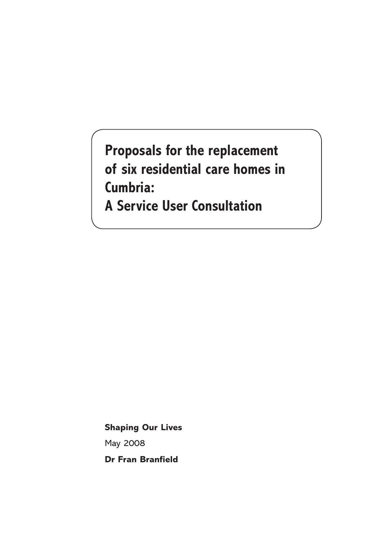**Proposals for the replacement of six residential care homes in Cumbria: A Service User Consultation**

**Shaping Our Lives** May 2008 **Dr Fran Branfield**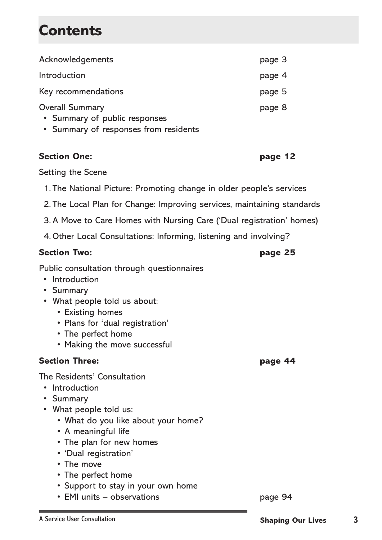# **Contents**

| Acknowledgements                                                       | page 3 |
|------------------------------------------------------------------------|--------|
| Introduction                                                           | page 4 |
| Key recommendations                                                    | page 5 |
| <b>Overall Summary</b>                                                 | page 8 |
| • Summary of public responses<br>• Summary of responses from residents |        |

#### **Section One: page 12**

Setting the Scene

- 1. The National Picture: Promoting change in older people's services
- 2. The Local Plan for Change: Improving services, maintaining standards
- 3. A Move to Care Homes with Nursing Care ('Dual registration' homes)
- 4.Other Local Consultations: Informing, listening and involving?

#### **Section Two: page 25**

Public consultation through questionnaires

- Introduction
- Summary
- What people told us about:
	- Existing homes
	- Plans for 'dual registration'
	- The perfect home
	- Making the move successful

#### **Section Three: page 44**

The Residents' Consultation

- Introduction
- Summary
- What people told us:
	- What do you like about your home?
	- A meaningful life
	- The plan for new homes
	- 'Dual registration'
	- The move
	- The perfect home
	- Support to stay in your own home
	- EMI units observations page 94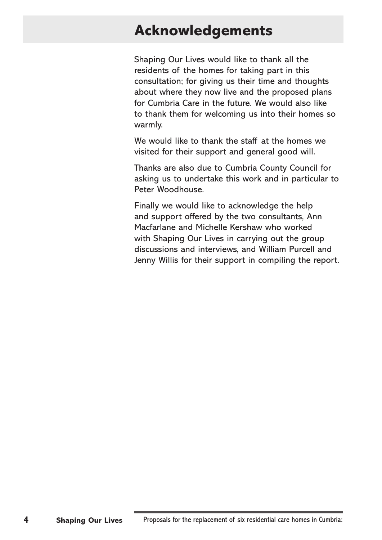# **Acknowledgements**

Shaping Our Lives would like to thank all the residents of the homes for taking part in this consultation; for giving us their time and thoughts about where they now live and the proposed plans for Cumbria Care in the future. We would also like to thank them for welcoming us into their homes so warmly.

We would like to thank the staff at the homes we visited for their support and general good will.

Thanks are also due to Cumbria County Council for asking us to undertake this work and in particular to Peter Woodhouse.

Finally we would like to acknowledge the help and support offered by the two consultants, Ann Macfarlane and Michelle Kershaw who worked with Shaping Our Lives in carrying out the group discussions and interviews, and William Purcell and Jenny Willis for their support in compiling the report.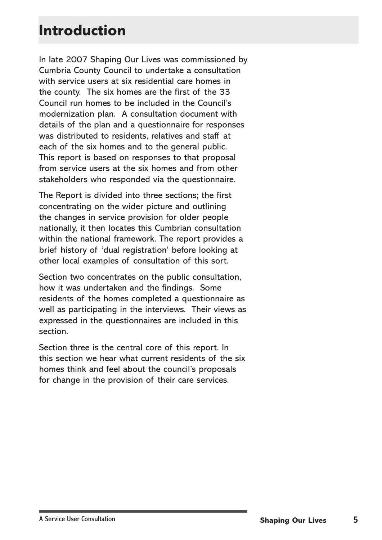# **Introduction**

In late 2007 Shaping Our Lives was commissioned by Cumbria County Council to undertake a consultation with service users at six residential care homes in the county. The six homes are the first of the 33 Council run homes to be included in the Council's modernization plan. A consultation document with details of the plan and a questionnaire for responses was distributed to residents, relatives and staff at each of the six homes and to the general public. This report is based on responses to that proposal from service users at the six homes and from other stakeholders who responded via the questionnaire.

The Report is divided into three sections; the first concentrating on the wider picture and outlining the changes in service provision for older people nationally, it then locates this Cumbrian consultation within the national framework. The report provides a brief history of 'dual registration' before looking at other local examples of consultation of this sort.

Section two concentrates on the public consultation, how it was undertaken and the findings. Some residents of the homes completed a questionnaire as well as participating in the interviews. Their views as expressed in the questionnaires are included in this section.

Section three is the central core of this report. In this section we hear what current residents of the six homes think and feel about the council's proposals for change in the provision of their care services.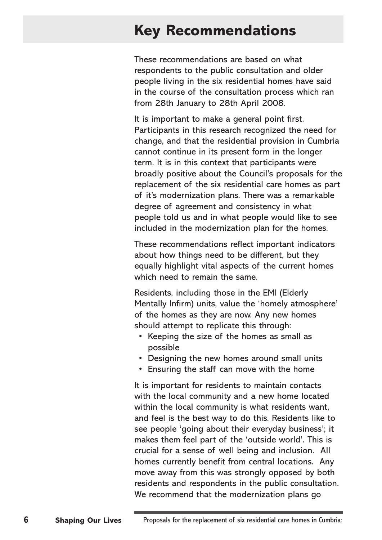# **Key Recommendations**

These recommendations are based on what respondents to the public consultation and older people living in the six residential homes have said in the course of the consultation process which ran from 28th January to 28th April 2008.

It is important to make a general point first. Participants in this research recognized the need for change, and that the residential provision in Cumbria cannot continue in its present form in the longer term. It is in this context that participants were broadly positive about the Council's proposals for the replacement of the six residential care homes as part of it's modernization plans. There was a remarkable degree of agreement and consistency in what people told us and in what people would like to see included in the modernization plan for the homes.

These recommendations reflect important indicators about how things need to be different, but they equally highlight vital aspects of the current homes which need to remain the same.

Residents, including those in the EMI (Elderly Mentally Infirm) units, value the 'homely atmosphere' of the homes as they are now. Any new homes should attempt to replicate this through:

- Keeping the size of the homes as small as possible
- Designing the new homes around small units
- Ensuring the staff can move with the home

It is important for residents to maintain contacts with the local community and a new home located within the local community is what residents want, and feel is the best way to do this. Residents like to see people 'going about their everyday business'; it makes them feel part of the 'outside world'. This is crucial for a sense of well being and inclusion. All homes currently benefit from central locations. Any move away from this was strongly opposed by both residents and respondents in the public consultation. We recommend that the modernization plans go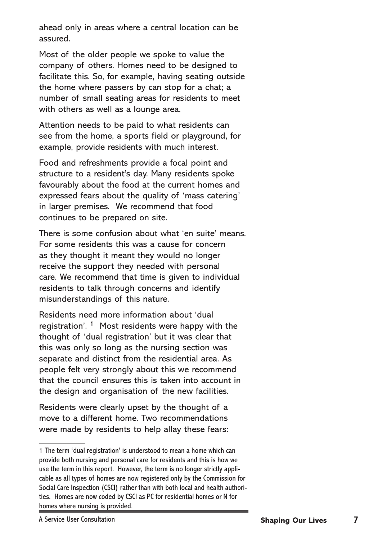ahead only in areas where a central location can be assured.

Most of the older people we spoke to value the company of others. Homes need to be designed to facilitate this. So, for example, having seating outside the home where passers by can stop for a chat; a number of small seating areas for residents to meet with others as well as a lounge area.

Attention needs to be paid to what residents can see from the home, a sports field or playground, for example, provide residents with much interest.

Food and refreshments provide a focal point and structure to a resident's day. Many residents spoke favourably about the food at the current homes and expressed fears about the quality of 'mass catering' in larger premises. We recommend that food continues to be prepared on site.

There is some confusion about what 'en suite' means. For some residents this was a cause for concern as they thought it meant they would no longer receive the support they needed with personal care. We recommend that time is given to individual residents to talk through concerns and identify misunderstandings of this nature.

Residents need more information about 'dual registration'. <sup>1</sup> Most residents were happy with the thought of 'dual registration' but it was clear that this was only so long as the nursing section was separate and distinct from the residential area. As people felt very strongly about this we recommend that the council ensures this is taken into account in the design and organisation of the new facilities.

Residents were clearly upset by the thought of a move to a different home. Two recommendations were made by residents to help allay these fears:

<sup>1</sup> The term 'dual registration' is understood to mean a home which can provide both nursing and personal care for residents and this is how we use the term in this report. However, the term is no longer strictly applicable as all types of homes are now registered only by the Commission for Social Care Inspection (CSCI) rather than with both local and health authorities. Homes are now coded by CSCI as PC for residential homes or N for homes where nursing is provided.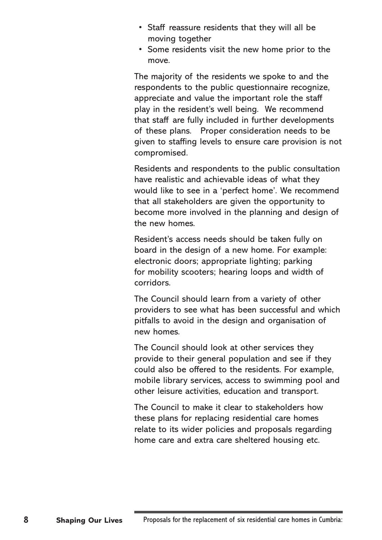- Staff reassure residents that they will all be moving together
- Some residents visit the new home prior to the move.

The majority of the residents we spoke to and the respondents to the public questionnaire recognize, appreciate and value the important role the staff play in the resident's well being. We recommend that staff are fully included in further developments of these plans. Proper consideration needs to be given to staffing levels to ensure care provision is not compromised.

Residents and respondents to the public consultation have realistic and achievable ideas of what they would like to see in a 'perfect home'. We recommend that all stakeholders are given the opportunity to become more involved in the planning and design of the new homes.

Resident's access needs should be taken fully on board in the design of a new home. For example: electronic doors; appropriate lighting; parking for mobility scooters; hearing loops and width of corridors.

The Council should learn from a variety of other providers to see what has been successful and which pitfalls to avoid in the design and organisation of new homes.

The Council should look at other services they provide to their general population and see if they could also be offered to the residents. For example, mobile library services, access to swimming pool and other leisure activities, education and transport.

The Council to make it clear to stakeholders how these plans for replacing residential care homes relate to its wider policies and proposals regarding home care and extra care sheltered housing etc.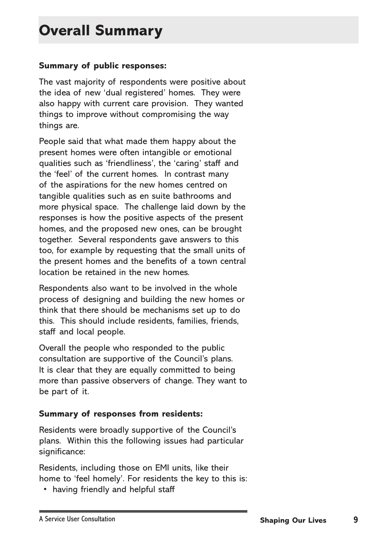#### **Summary of public responses:**

The vast majority of respondents were positive about the idea of new 'dual registered' homes. They were also happy with current care provision. They wanted things to improve without compromising the way things are.

People said that what made them happy about the present homes were often intangible or emotional qualities such as 'friendliness', the 'caring' staff and the 'feel' of the current homes. In contrast many of the aspirations for the new homes centred on tangible qualities such as en suite bathrooms and more physical space. The challenge laid down by the responses is how the positive aspects of the present homes, and the proposed new ones, can be brought together. Several respondents gave answers to this too, for example by requesting that the small units of the present homes and the benefits of a town central location be retained in the new homes.

Respondents also want to be involved in the whole process of designing and building the new homes or think that there should be mechanisms set up to do this. This should include residents, families, friends, staff and local people.

Overall the people who responded to the public consultation are supportive of the Council's plans. It is clear that they are equally committed to being more than passive observers of change. They want to be part of it.

#### **Summary of responses from residents:**

Residents were broadly supportive of the Council's plans. Within this the following issues had particular significance:

Residents, including those on EMI units, like their home to 'feel homely'. For residents the key to this is:

• having friendly and helpful staff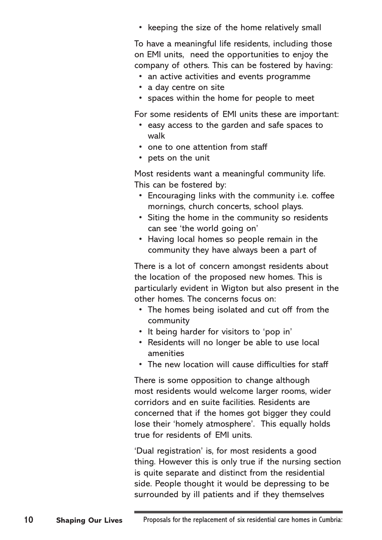• keeping the size of the home relatively small

To have a meaningful life residents, including those on EMI units, need the opportunities to enjoy the company of others. This can be fostered by having:

- an active activities and events programme
- a day centre on site
- spaces within the home for people to meet

For some residents of EMI units these are important:

- easy access to the garden and safe spaces to walk
- one to one attention from staff
- pets on the unit

Most residents want a meaningful community life. This can be fostered by:

- Encouraging links with the community i.e. coffee mornings, church concerts, school plays.
- Siting the home in the community so residents can see 'the world going on'
- Having local homes so people remain in the community they have always been a part of

There is a lot of concern amongst residents about the location of the proposed new homes. This is particularly evident in Wigton but also present in the other homes. The concerns focus on:

- The homes being isolated and cut off from the community
- It being harder for visitors to 'pop in'
- Residents will no longer be able to use local amenities
- The new location will cause difficulties for staff

There is some opposition to change although most residents would welcome larger rooms, wider corridors and en suite facilities. Residents are concerned that if the homes got bigger they could lose their 'homely atmosphere'. This equally holds true for residents of EMI units.

'Dual registration' is, for most residents a good thing. However this is only true if the nursing section is quite separate and distinct from the residential side. People thought it would be depressing to be surrounded by ill patients and if they themselves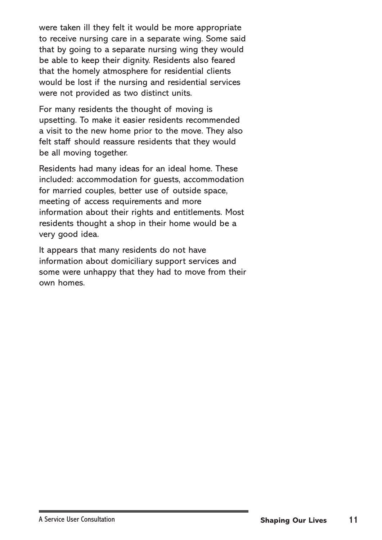were taken ill they felt it would be more appropriate to receive nursing care in a separate wing. Some said that by going to a separate nursing wing they would be able to keep their dignity. Residents also feared that the homely atmosphere for residential clients would be lost if the nursing and residential services were not provided as two distinct units.

For many residents the thought of moving is upsetting. To make it easier residents recommended a visit to the new home prior to the move. They also felt staff should reassure residents that they would be all moving together.

Residents had many ideas for an ideal home. These included: accommodation for guests, accommodation for married couples, better use of outside space, meeting of access requirements and more information about their rights and entitlements. Most residents thought a shop in their home would be a very good idea.

It appears that many residents do not have information about domiciliary support services and some were unhappy that they had to move from their own homes.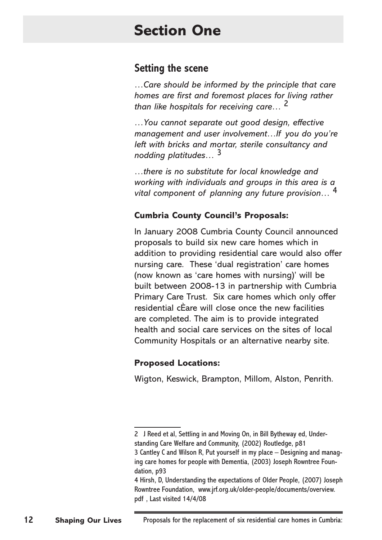# **Section One**

### **Setting the scene**

*…Care should be informed by the principle that care homes are first and foremost places for living rather than like hospitals for receiving care…* 

*…You cannot separate out good design, effective management and user involvement…If you do you're left with bricks and mortar, sterile consultancy and nodding platitudes…* 

*…there is no substitute for local knowledge and working with individuals and groups in this area is a vital component of planning any future provision…* 

#### **Cumbria County Council's Proposals:**

In January 2008 Cumbria County Council announced proposals to build six new care homes which in addition to providing residential care would also offer nursing care. These 'dual registration' care homes (now known as 'care homes with nursing)' will be built between 2008-13 in partnership with Cumbria Primary Care Trust. Six care homes which only offer residential cÈare will close once the new facilities are completed. The aim is to provide integrated health and social care services on the sites of local Community Hospitals or an alternative nearby site.

#### **Proposed Locations:**

Wigton, Keswick, Brampton, Millom, Alston, Penrith.

<sup>2</sup> J Reed et al, Settling in and Moving On, in Bill Bytheway ed, Understanding Care Welfare and Community, (2002) Routledge, p81 3 Cantley C and Wilson R, Put yourself in my place – Designing and managing care homes for people with Dementia, (2003) Joseph Rowntree Foundation, p93

Hirsh, D, Understanding the expectations of Older People, (2007) Joseph Rowntree Foundation, www.jrf.org.uk/older-people/documents/overview. pdf , Last visited 14/4/08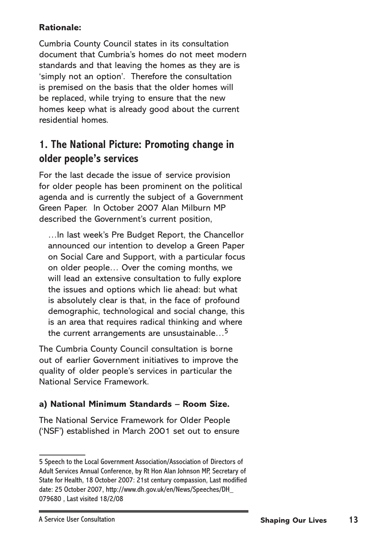#### **Rationale:**

Cumbria County Council states in its consultation document that Cumbria's homes do not meet modern standards and that leaving the homes as they are is 'simply not an option'. Therefore the consultation is premised on the basis that the older homes will be replaced, while trying to ensure that the new homes keep what is already good about the current residential homes.

### **1. The National Picture: Promoting change in older people's services**

For the last decade the issue of service provision for older people has been prominent on the political agenda and is currently the subject of a Government Green Paper. In October 2007 Alan Milburn MP described the Government's current position,

…In last week's Pre Budget Report, the Chancellor announced our intention to develop a Green Paper on Social Care and Support, with a particular focus on older people… Over the coming months, we will lead an extensive consultation to fully explore the issues and options which lie ahead: but what is absolutely clear is that, in the face of profound demographic, technological and social change, this is an area that requires radical thinking and where the current arrangements are unsustainable...<sup>5</sup>

The Cumbria County Council consultation is borne out of earlier Government initiatives to improve the quality of older people's services in particular the National Service Framework.

#### **a) National Minimum Standards – Room Size.**

The National Service Framework for Older People ('NSF') established in March 2001 set out to ensure

Speech to the Local Government Association/Association of Directors of Adult Services Annual Conference, by Rt Hon Alan Johnson MP, Secretary of State for Health, 18 October 2007: 21st century compassion, Last modified date: 25 October 2007, http://www.dh.gov.uk/en/News/Speeches/DH\_ 079680 , Last visited 18/2/08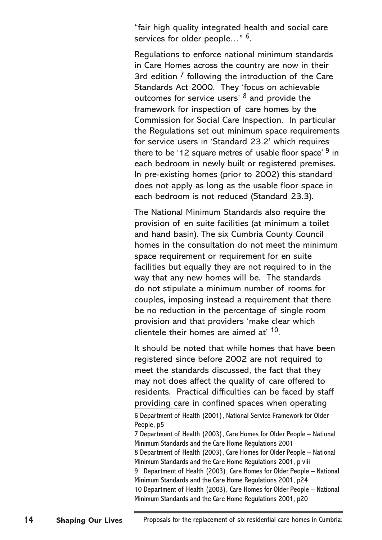"fair high quality integrated health and social care services for older people..."  $6$ .

Regulations to enforce national minimum standards in Care Homes across the country are now in their 3rd edition  $\frac{7}{1}$  following the introduction of the Care Standards Act 2000. They 'focus on achievable outcomes for service users'  $8$  and provide the framework for inspection of care homes by the Commission for Social Care Inspection. In particular the Regulations set out minimum space requirements for service users in 'Standard 23.2' which requires there to be '12 square metres of usable floor space'  $9$  in each bedroom in newly built or registered premises. In pre-existing homes (prior to 2002) this standard does not apply as long as the usable floor space in each bedroom is not reduced (Standard 23.3).

The National Minimum Standards also require the provision of en suite facilities (at minimum a toilet and hand basin). The six Cumbria County Council homes in the consultation do not meet the minimum space requirement or requirement for en suite facilities but equally they are not required to in the way that any new homes will be. The standards do not stipulate a minimum number of rooms for couples, imposing instead a requirement that there be no reduction in the percentage of single room provision and that providers 'make clear which clientele their homes are aimed at' 10.

It should be noted that while homes that have been registered since before 2002 are not required to meet the standards discussed, the fact that they may not does affect the quality of care offered to residents. Practical difficulties can be faced by staff providing care in confined spaces when operating Department of Health (2001), National Service Framework for Older People, p5 Department of Health (2003), Care Homes for Older People – National Minimum Standards and the Care Home Regulations 2001 Department of Health (2003), Care Homes for Older People – National Minimum Standards and the Care Home Regulations 2001, p viii 9 Department of Health (2003), Care Homes for Older People – National Minimum Standards and the Care Home Regulations 2001, p24 10 Department of Health (2003), Care Homes for Older People – National Minimum Standards and the Care Home Regulations 2001, p20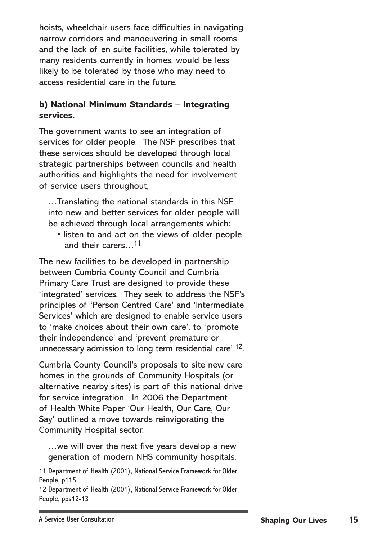hoists, wheelchair users face difficulties in navigating narrow corridors and manoeuvering in small rooms and the lack of en suite facilities, while tolerated by many residents currently in homes, would be less likely to be tolerated by those who may need to access residential care in the future.

#### **b) National Minimum Standards – Integrating services.**

The government wants to see an integration of services for older people. The NSF prescribes that these services should be developed through local strategic partnerships between councils and health authorities and highlights the need for involvement of service users throughout,

…Translating the national standards in this NSF into new and better services for older people will be achieved through local arrangements which:

• listen to and act on the views of older people and their carers…11

The new facilities to be developed in partnership between Cumbria County Council and Cumbria Primary Care Trust are designed to provide these 'integrated' services. They seek to address the NSF's principles of 'Person Centred Care' and 'Intermediate Services' which are designed to enable service users to 'make choices about their own care', to 'promote their independence' and 'prevent premature or unnecessary admission to long term residential care' <sup>12</sup>.

Cumbria County Council's proposals to site new care homes in the grounds of Community Hospitals (or alternative nearby sites) is part of this national drive for service integration. In 2006 the Department of Health White Paper 'Our Health, Our Care, Our Say' outlined a move towards reinvigorating the Community Hospital sector,

…we will over the next five years develop a new generation of modern NHS community hospitals.

<sup>11</sup> Department of Health (2001), National Service Framework for Older People, p115

<sup>12</sup> Department of Health (2001), National Service Framework for Older People, pps12-13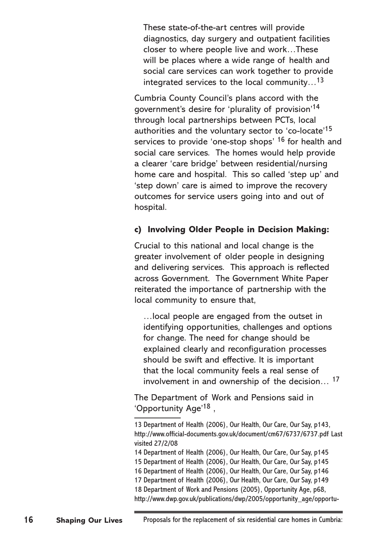These state-of-the-art centres will provide diagnostics, day surgery and outpatient facilities closer to where people live and work…These will be places where a wide range of health and social care services can work together to provide integrated services to the local community...<sup>13</sup>

Cumbria County Council's plans accord with the government's desire for 'plurality of provision'14 through local partnerships between PCTs, local authorities and the voluntary sector to 'co-locate'15 services to provide 'one-stop shops' <sup>16</sup> for health and social care services. The homes would help provide a clearer 'care bridge' between residential/nursing home care and hospital. This so called 'step up' and 'step down' care is aimed to improve the recovery outcomes for service users going into and out of hospital.

#### **c) Involving Older People in Decision Making:**

Crucial to this national and local change is the greater involvement of older people in designing and delivering services. This approach is reflected across Government. The Government White Paper reiterated the importance of partnership with the local community to ensure that,

…local people are engaged from the outset in identifying opportunities, challenges and options for change. The need for change should be explained clearly and reconfiguration processes should be swift and effective. It is important that the local community feels a real sense of involvement in and ownership of the decision… 17

The Department of Work and Pensions said in 'Opportunity Age'18 ,

<sup>13</sup> Department of Health (2006), Our Health, Our Care, Our Say, p143, http://www.official-documents.gov.uk/document/cm67/6737/6737.pdf Last visited 27/2/08

<sup>14</sup> Department of Health (2006), Our Health, Our Care, Our Say, p145

<sup>15</sup> Department of Health (2006), Our Health, Our Care, Our Say, p145

<sup>16</sup> Department of Health (2006), Our Health, Our Care, Our Say, p146

<sup>17</sup> Department of Health (2006), Our Health, Our Care, Our Say, p149

<sup>18</sup> Department of Work and Pensions (2005), Opportunity Age, p68,

http://www.dwp.gov.uk/publications/dwp/2005/opportunity\_age/opportu-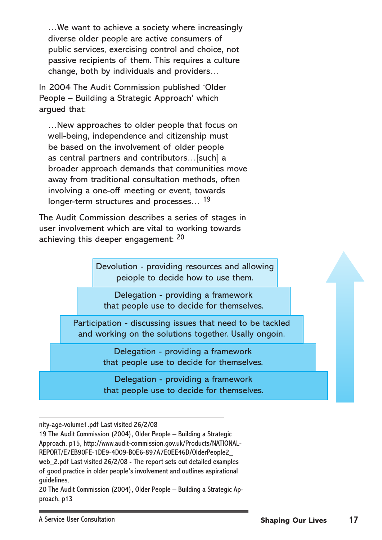…We want to achieve a society where increasingly diverse older people are active consumers of public services, exercising control and choice, not passive recipients of them. This requires a culture change, both by individuals and providers…

In 2004 The Audit Commission published 'Older People – Building a Strategic Approach' which argued that:

…New approaches to older people that focus on well-being, independence and citizenship must be based on the involvement of older people as central partners and contributors…[such] a broader approach demands that communities move away from traditional consultation methods, often involving a one-off meeting or event, towards longer-term structures and processes...<sup>19</sup>

The Audit Commission describes a series of stages in user involvement which are vital to working towards achieving this deeper engagement: 20

> Devolution - providing resources and allowing peiople to decide how to use them.

Delegation - providing a framework that people use to decide for themselves.

Participation - discussing issues that need to be tackled and working on the solutions together. Usally ongoin.

> Delegation - providing a framework that people use to decide for themselves.

> Delegation - providing a framework that people use to decide for themselves.

nity-age-volume1.pdf Last visited 26/2/08

19 The Audit Commission (2004), Older People – Building a Strategic Approach, p15, http://www.audit-commission.gov.uk/Products/NATIONAL-REPORT/E7EB90FE-1DE9-4D09-B0E6-897A7E0EE46D/OlderPeople2\_ web 2.pdf Last visited 26/2/08 - The report sets out detailed examples of good practice in older people's involvement and outlines aspirational guidelines. 

20 The Audit Commission (2004), Older People – Building a Strategic Approach, p13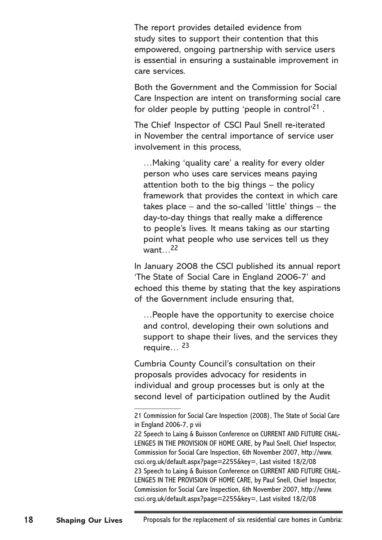The report provides detailed evidence from study sites to support their contention that this empowered, ongoing partnership with service users is essential in ensuring a sustainable improvement in care services.

Both the Government and the Commission for Social Care Inspection are intent on transforming social care for older people by putting 'people in control'<sup>21</sup>.

The Chief Inspector of CSCI Paul Snell re-iterated in November the central importance of service user involvement in this process,

…Making 'quality care' a reality for every older person who uses care services means paying attention both to the big things – the policy framework that provides the context in which care takes place – and the so-called 'little' things – the day-to-day things that really make a difference to people's lives. It means taking as our starting point what people who use services tell us they want…22

In January 2008 the CSCI published its annual report 'The State of Social Care in England 2006-7' and echoed this theme by stating that the key aspirations of the Government include ensuring that,

…People have the opportunity to exercise choice and control, developing their own solutions and support to shape their lives, and the services they require… 23

Cumbria County Council's consultation on their proposals provides advocacy for residents in individual and group processes but is only at the second level of participation outlined by the Audit

<sup>21</sup> Commission for Social Care Inspection (2008), The State of Social Care in England 2006-7, p vii

<sup>22</sup> Speech to Laing & Buisson Conference on CURRENT AND FUTURE CHAL-LENGES IN THE PROVISION OF HOME CARE, by Paul Snell, Chief Inspector, Commission for Social Care Inspection, 6th November 2007, http://www. csci.org.uk/default.aspx?page=2255&key=, Last visited 18/2/08 23 Speech to Laing & Buisson Conference on CURRENT AND FUTURE CHAL-LENGES IN THE PROVISION OF HOME CARE, by Paul Snell, Chief Inspector, Commission for Social Care Inspection, 6th November 2007, http://www. csci.org.uk/default.aspx?page=2255&key=, Last visited 18/2/08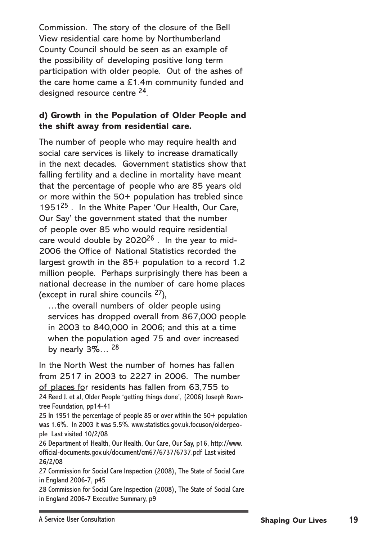Commission. The story of the closure of the Bell View residential care home by Northumberland County Council should be seen as an example of the possibility of developing positive long term participation with older people. Out of the ashes of the care home came a £1.4m community funded and designed resource centre 24.

#### **d) Growth in the Population of Older People and the shift away from residential care.**

The number of people who may require health and social care services is likely to increase dramatically in the next decades. Government statistics show that falling fertility and a decline in mortality have meant that the percentage of people who are 85 years old or more within the 50+ population has trebled since 195125 . In the White Paper 'Our Health, Our Care, Our Say' the government stated that the number of people over 85 who would require residential care would double by  $2020^{26}$ . In the year to mid-2006 the Office of National Statistics recorded the largest growth in the 85+ population to a record 1.2 million people. Perhaps surprisingly there has been a national decrease in the number of care home places (except in rural shire councils  $27$ ),

…the overall numbers of older people using services has dropped overall from 867,000 people in 2003 to 840,000 in 2006; and this at a time when the population aged 75 and over increased by nearly  $3\%...$  <sup>28</sup>

In the North West the number of homes has fallen from 2517 in 2003 to 2227 in 2006. The number of places for residents has fallen from 63,755 to 24 Reed J. et al, Older People 'getting things done', (2006) Joseph Rowntree Foundation, pp14-41

25 In 1951 the percentage of people 85 or over within the 50+ population was 1.6%. In 2003 it was 5.5%. www.statistics.gov.uk.focuson/olderpeople Last visited 10/2/08

26 Department of Health, Our Health, Our Care, Our Say, p16, http://www. official-documents.gov.uk/document/cm67/6737/6737.pdf Last visited 26/2/08

27 Commission for Social Care Inspection (2008), The State of Social Care in England 2006-7, p45

28 Commission for Social Care Inspection (2008), The State of Social Care in England 2006-7 Executive Summary, p9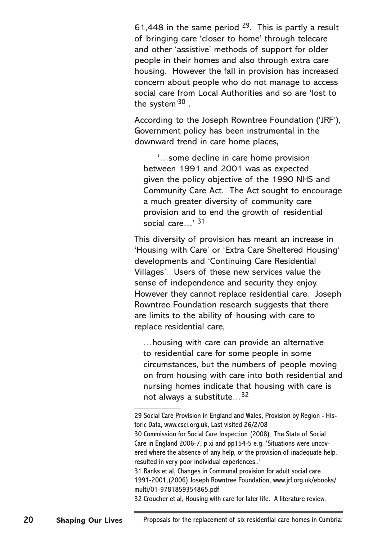61,448 in the same period 29. This is partly a result of bringing care 'closer to home' through telecare and other 'assistive' methods of support for older people in their homes and also through extra care housing. However the fall in provision has increased concern about people who do not manage to access social care from Local Authorities and so are 'lost to the system'30 .

According to the Joseph Rowntree Foundation ('JRF'), Government policy has been instrumental in the downward trend in care home places,

'…some decline in care home provision between 1991 and 2001 was as expected given the policy objective of the 1990 NHS and Community Care Act. The Act sought to encourage a much greater diversity of community care provision and to end the growth of residential social care...'<sup>31</sup>

This diversity of provision has meant an increase in 'Housing with Care' or 'Extra Care Sheltered Housing' developments and 'Continuing Care Residential Villages'. Users of these new services value the sense of independence and security they enjoy. However they cannot replace residential care. Joseph Rowntree Foundation research suggests that there are limits to the ability of housing with care to replace residential care,

…housing with care can provide an alternative to residential care for some people in some circumstances, but the numbers of people moving on from housing with care into both residential and nursing homes indicate that housing with care is not always a substitute…32

32 Croucher et al, Housing with care for later life. A literature review,

<sup>29</sup> Social Care Provision in England and Wales, Provision by Region - Historic Data, www.csci.org.uk, Last visited 26/2/08

<sup>30</sup> Commission for Social Care Inspection (2008), The State of Social Care in England 2006-7, p xi and pp154-5 e.g. 'Situations were uncovered where the absence of any help, or the provision of inadequate help, resulted in very poor individual experiences..'

<sup>31</sup> Banks et al, Changes in Communal provision for adult social care 1991-2001,(2006) Joseph Rowntree Foundation, www.jrf.org.uk/ebooks/ multi/01-9781859354865.pdf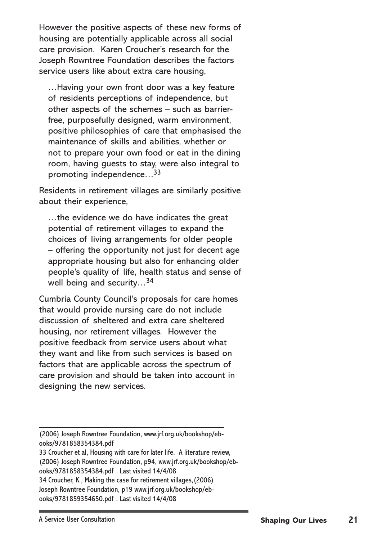However the positive aspects of these new forms of housing are potentially applicable across all social care provision. Karen Croucher's research for the Joseph Rowntree Foundation describes the factors service users like about extra care housing,

…Having your own front door was a key feature of residents perceptions of independence, but other aspects of the schemes – such as barrierfree, purposefully designed, warm environment, positive philosophies of care that emphasised the maintenance of skills and abilities, whether or not to prepare your own food or eat in the dining room, having guests to stay, were also integral to promoting independence…33

Residents in retirement villages are similarly positive about their experience,

…the evidence we do have indicates the great potential of retirement villages to expand the choices of living arrangements for older people – offering the opportunity not just for decent age appropriate housing but also for enhancing older people's quality of life, health status and sense of well being and security...<sup>34</sup>

Cumbria County Council's proposals for care homes that would provide nursing care do not include discussion of sheltered and extra care sheltered housing, nor retirement villages. However the positive feedback from service users about what they want and like from such services is based on factors that are applicable across the spectrum of care provision and should be taken into account in designing the new services.

(2006) Joseph Rowntree Foundation, www.jrf.org.uk/bookshop/ebooks/9781858354384.pdf

33 Croucher et al, Housing with care for later life. A literature review, (2006) Joseph Rowntree Foundation, p94, www.jrf.org.uk/bookshop/ebooks/9781858354384.pdf . Last visited 14/4/08 34 Croucher, K., Making the case for retirement villages,(2006) Joseph Rowntree Foundation, p19 www.jrf.org.uk/bookshop/eb-

ooks/9781859354650.pdf . Last visited 14/4/08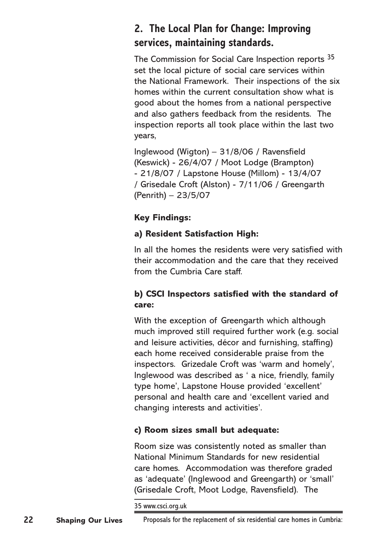### **2. The Local Plan for Change: Improving services, maintaining standards.**

The Commission for Social Care Inspection reports <sup>35</sup> set the local picture of social care services within the National Framework. Their inspections of the six homes within the current consultation show what is good about the homes from a national perspective and also gathers feedback from the residents. The inspection reports all took place within the last two years,

Inglewood (Wigton) – 31/8/06 / Ravensfield (Keswick) - 26/4/07 / Moot Lodge (Brampton) - 21/8/07 / Lapstone House (Millom) - 13/4/07 / Grisedale Croft (Alston) - 7/11/06 / Greengarth (Penrith) – 23/5/07

#### **Key Findings:**

#### **a) Resident Satisfaction High:**

In all the homes the residents were very satisfied with their accommodation and the care that they received from the Cumbria Care staff.

#### **b) CSCI Inspectors satisfied with the standard of care:**

With the exception of Greengarth which although much improved still required further work (e.g. social and leisure activities, décor and furnishing, staffing) each home received considerable praise from the inspectors. Grizedale Croft was 'warm and homely', Inglewood was described as ' a nice, friendly, family type home', Lapstone House provided 'excellent' personal and health care and 'excellent varied and changing interests and activities'.

#### **c) Room sizes small but adequate:**

Room size was consistently noted as smaller than National Minimum Standards for new residential care homes. Accommodation was therefore graded as 'adequate' (Inglewood and Greengarth) or 'small' (Grisedale Croft, Moot Lodge, Ravensfield). The

35 www.csci.org.uk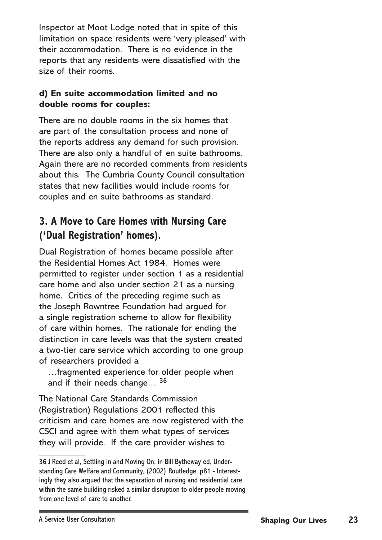Inspector at Moot Lodge noted that in spite of this limitation on space residents were 'very pleased' with their accommodation. There is no evidence in the reports that any residents were dissatisfied with the size of their rooms.

#### **d) En suite accommodation limited and no double rooms for couples:**

There are no double rooms in the six homes that are part of the consultation process and none of the reports address any demand for such provision. There are also only a handful of en suite bathrooms. Again there are no recorded comments from residents about this. The Cumbria County Council consultation states that new facilities would include rooms for couples and en suite bathrooms as standard.

# **3. A Move to Care Homes with Nursing Care ('Dual Registration' homes).**

Dual Registration of homes became possible after the Residential Homes Act 1984. Homes were permitted to register under section 1 as a residential care home and also under section 21 as a nursing home. Critics of the preceding regime such as the Joseph Rowntree Foundation had argued for a single registration scheme to allow for flexibility of care within homes. The rationale for ending the distinction in care levels was that the system created a two-tier care service which according to one group of researchers provided a

…fragmented experience for older people when and if their needs change...<sup>36</sup>

The National Care Standards Commission (Registration) Regulations 2001 reflected this criticism and care homes are now registered with the CSCI and agree with them what types of services they will provide. If the care provider wishes to

<sup>36</sup> J Reed et al, Settling in and Moving On, in Bill Bytheway ed, Understanding Care Welfare and Community, (2002) Routledge, p81 - Interestingly they also argued that the separation of nursing and residential care within the same building risked a similar disruption to older people moving from one level of care to another.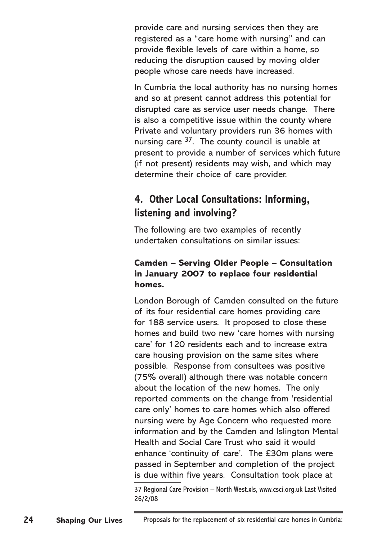provide care and nursing services then they are registered as a "care home with nursing" and can provide flexible levels of care within a home, so reducing the disruption caused by moving older people whose care needs have increased.

In Cumbria the local authority has no nursing homes and so at present cannot address this potential for disrupted care as service user needs change. There is also a competitive issue within the county where Private and voluntary providers run 36 homes with nursing care  $37$ . The county council is unable at present to provide a number of services which future (if not present) residents may wish, and which may determine their choice of care provider.

### **4. Other Local Consultations: Informing, listening and involving?**

The following are two examples of recently undertaken consultations on similar issues:

#### **Camden – Serving Older People – Consultation in January 2007 to replace four residential homes.**

London Borough of Camden consulted on the future of its four residential care homes providing care for 188 service users. It proposed to close these homes and build two new 'care homes with nursing care' for 120 residents each and to increase extra care housing provision on the same sites where possible. Response from consultees was positive (75% overall) although there was notable concern about the location of the new homes. The only reported comments on the change from 'residential care only' homes to care homes which also offered nursing were by Age Concern who requested more information and by the Camden and Islington Mental Health and Social Care Trust who said it would enhance 'continuity of care'. The £30m plans were passed in September and completion of the project is due within five years. Consultation took place at

<sup>37</sup> Regional Care Provision – North West.xls, www.csci.org.uk Last Visited 26/2/08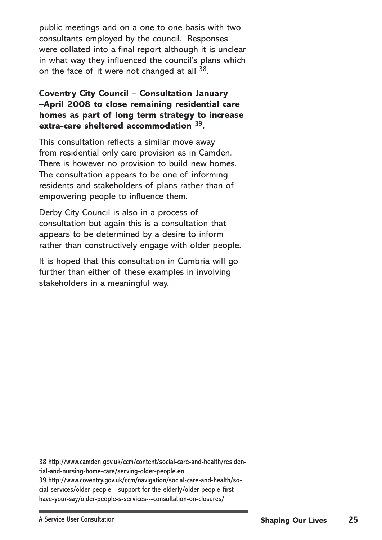public meetings and on a one to one basis with two consultants employed by the council. Responses were collated into a final report although it is unclear in what way they influenced the council's plans which on the face of it were not changed at all <sup>38</sup>.

#### **Coventry City Council – Consultation January –April 2008 to close remaining residential care homes as part of long term strategy to increase extra-care sheltered accommodation** 39**.**

This consultation reflects a similar move away from residential only care provision as in Camden. There is however no provision to build new homes. The consultation appears to be one of informing residents and stakeholders of plans rather than of empowering people to influence them.

Derby City Council is also in a process of consultation but again this is a consultation that appears to be determined by a desire to inform rather than constructively engage with older people.

It is hoped that this consultation in Cumbria will go further than either of these examples in involving stakeholders in a meaningful way.

<sup>38</sup> http://www.camden.gov.uk/ccm/content/social-care-and-health/residen-

tial-and-nursing-home-care/serving-older-people.en

<sup>39</sup> http://www.coventry.gov.uk/ccm/navigation/social-care-and-health/social-services/older-people---support-for-the-elderly/older-people-first-- have-your-say/older-people-s-services---consultation-on-closures/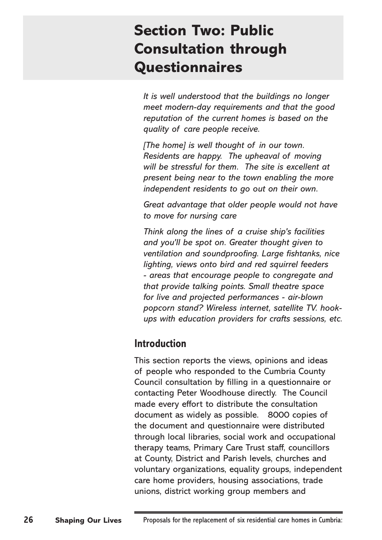# **Section Two: Public Consultation through Questionnaires**

*It is well understood that the buildings no longer meet modern-day requirements and that the good reputation of the current homes is based on the quality of care people receive.*

*[The home] is well thought of in our town. Residents are happy. The upheaval of moving will be stressful for them. The site is excellent at present being near to the town enabling the more independent residents to go out on their own.*

*Great advantage that older people would not have to move for nursing care*

*Think along the lines of a cruise ship's facilities and you'll be spot on. Greater thought given to ventilation and soundproofing. Large fishtanks, nice lighting, views onto bird and red squirrel feeders - areas that encourage people to congregate and that provide talking points. Small theatre space for live and projected performances - air-blown popcorn stand? Wireless internet, satellite TV. hookups with education providers for crafts sessions, etc.*

### **Introduction**

This section reports the views, opinions and ideas of people who responded to the Cumbria County Council consultation by filling in a questionnaire or contacting Peter Woodhouse directly. The Council made every effort to distribute the consultation document as widely as possible. 8000 copies of the document and questionnaire were distributed through local libraries, social work and occupational therapy teams, Primary Care Trust staff, councillors at County, District and Parish levels, churches and voluntary organizations, equality groups, independent care home providers, housing associations, trade unions, district working group members and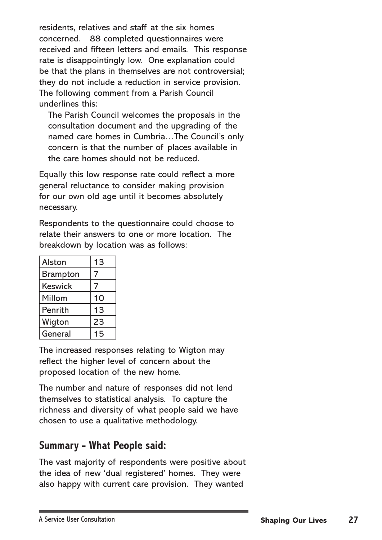residents, relatives and staff at the six homes concerned. 88 completed questionnaires were received and fifteen letters and emails. This response rate is disappointingly low. One explanation could be that the plans in themselves are not controversial; they do not include a reduction in service provision. The following comment from a Parish Council underlines this:

The Parish Council welcomes the proposals in the consultation document and the upgrading of the named care homes in Cumbria…The Council's only concern is that the number of places available in the care homes should not be reduced.

Equally this low response rate could reflect a more general reluctance to consider making provision for our own old age until it becomes absolutely necessary.

Respondents to the questionnaire could choose to relate their answers to one or more location. The breakdown by location was as follows:

| <b>Alston</b>   | 13 |
|-----------------|----|
| <b>Brampton</b> |    |
| <b>Keswick</b>  | 7  |
| Millom          | 10 |
| Penrith         | 13 |
| Wigton          | 23 |
| General         | 15 |

The increased responses relating to Wigton may reflect the higher level of concern about the proposed location of the new home.

The number and nature of responses did not lend themselves to statistical analysis. To capture the richness and diversity of what people said we have chosen to use a qualitative methodology.

### **Summary - What People said:**

The vast majority of respondents were positive about the idea of new 'dual registered' homes. They were also happy with current care provision. They wanted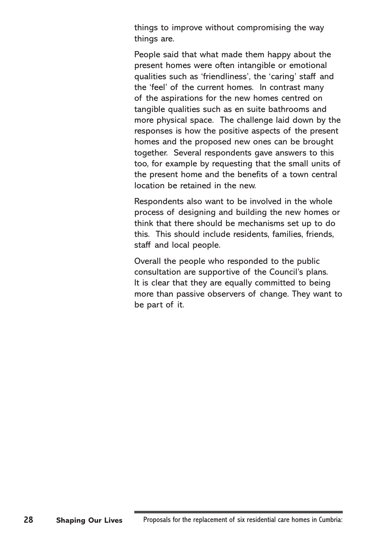things to improve without compromising the way things are.

People said that what made them happy about the present homes were often intangible or emotional qualities such as 'friendliness', the 'caring' staff and the 'feel' of the current homes. In contrast many of the aspirations for the new homes centred on tangible qualities such as en suite bathrooms and more physical space. The challenge laid down by the responses is how the positive aspects of the present homes and the proposed new ones can be brought together. Several respondents gave answers to this too, for example by requesting that the small units of the present home and the benefits of a town central location be retained in the new.

Respondents also want to be involved in the whole process of designing and building the new homes or think that there should be mechanisms set up to do this. This should include residents, families, friends, staff and local people.

Overall the people who responded to the public consultation are supportive of the Council's plans. It is clear that they are equally committed to being more than passive observers of change. They want to be part of it.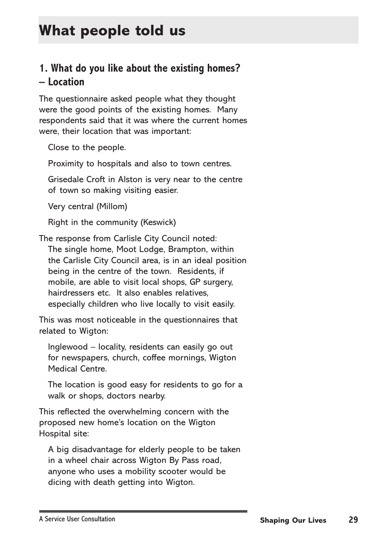# **What people told us**

### **1. What do you like about the existing homes? – Location**

The questionnaire asked people what they thought were the good points of the existing homes. Many respondents said that it was where the current homes were, their location that was important:

Close to the people.

Proximity to hospitals and also to town centres.

Grisedale Croft in Alston is very near to the centre of town so making visiting easier.

Very central (Millom)

Right in the community (Keswick)

The response from Carlisle City Council noted:

The single home, Moot Lodge, Brampton, within the Carlisle City Council area, is in an ideal position being in the centre of the town. Residents, if mobile, are able to visit local shops, GP surgery, hairdressers etc. It also enables relatives, especially children who live locally to visit easily.

This was most noticeable in the questionnaires that related to Wigton:

Inglewood – locality, residents can easily go out for newspapers, church, coffee mornings, Wigton Medical Centre.

The location is good easy for residents to go for a walk or shops, doctors nearby.

This reflected the overwhelming concern with the proposed new home's location on the Wigton Hospital site:

A big disadvantage for elderly people to be taken in a wheel chair across Wigton By Pass road, anyone who uses a mobility scooter would be dicing with death getting into Wigton.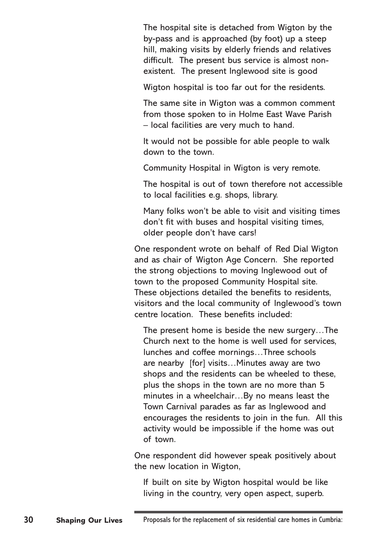The hospital site is detached from Wigton by the by-pass and is approached (by foot) up a steep hill, making visits by elderly friends and relatives difficult. The present bus service is almost nonexistent. The present Inglewood site is good

Wigton hospital is too far out for the residents.

The same site in Wigton was a common comment from those spoken to in Holme East Wave Parish – local facilities are very much to hand.

It would not be possible for able people to walk down to the town.

Community Hospital in Wigton is very remote.

The hospital is out of town therefore not accessible to local facilities e.g. shops, library.

Many folks won't be able to visit and visiting times don't fit with buses and hospital visiting times, older people don't have cars!

One respondent wrote on behalf of Red Dial Wigton and as chair of Wigton Age Concern. She reported the strong objections to moving Inglewood out of town to the proposed Community Hospital site. These objections detailed the benefits to residents, visitors and the local community of Inglewood's town centre location. These benefits included:

The present home is beside the new surgery…The Church next to the home is well used for services, lunches and coffee mornings…Three schools are nearby [for] visits…Minutes away are two shops and the residents can be wheeled to these, plus the shops in the town are no more than 5 minutes in a wheelchair…By no means least the Town Carnival parades as far as Inglewood and encourages the residents to join in the fun. All this activity would be impossible if the home was out of town.

One respondent did however speak positively about the new location in Wigton,

If built on site by Wigton hospital would be like living in the country, very open aspect, superb.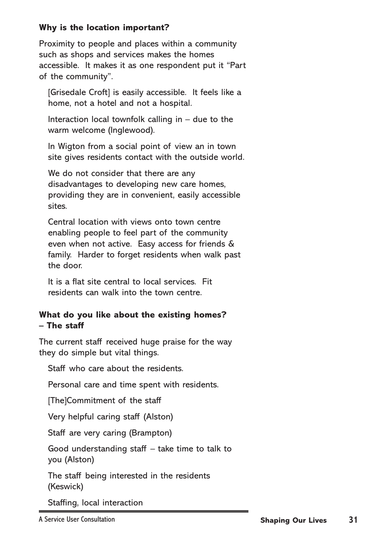#### **Why is the location important?**

Proximity to people and places within a community such as shops and services makes the homes accessible. It makes it as one respondent put it "Part of the community".

[Grisedale Croft] is easily accessible. It feels like a home, not a hotel and not a hospital.

Interaction local townfolk calling in  $-$  due to the warm welcome (Inglewood).

In Wigton from a social point of view an in town site gives residents contact with the outside world.

We do not consider that there are any disadvantages to developing new care homes, providing they are in convenient, easily accessible sites.

Central location with views onto town centre enabling people to feel part of the community even when not active. Easy access for friends & family. Harder to forget residents when walk past the door.

It is a flat site central to local services. Fit residents can walk into the town centre.

#### **What do you like about the existing homes? – The staff**

The current staff received huge praise for the way they do simple but vital things.

Staff who care about the residents.

Personal care and time spent with residents.

[The]Commitment of the staff

Very helpful caring staff (Alston)

Staff are very caring (Brampton)

Good understanding staff – take time to talk to you (Alston)

The staff being interested in the residents (Keswick)

Staffing, local interaction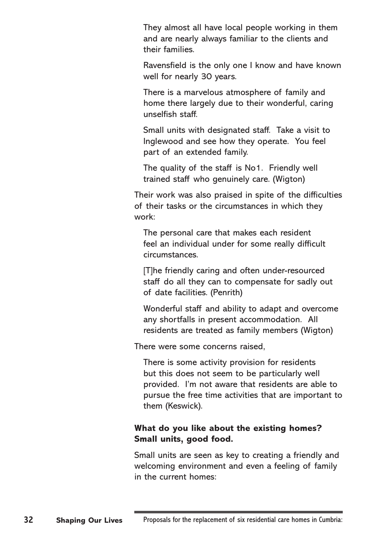They almost all have local people working in them and are nearly always familiar to the clients and their families.

Ravensfield is the only one I know and have known well for nearly 30 years.

There is a marvelous atmosphere of family and home there largely due to their wonderful, caring unselfish staff.

Small units with designated staff. Take a visit to Inglewood and see how they operate. You feel part of an extended family.

The quality of the staff is No1. Friendly well trained staff who genuinely care. (Wigton)

Their work was also praised in spite of the difficulties of their tasks or the circumstances in which they work:

The personal care that makes each resident feel an individual under for some really difficult circumstances.

[T]he friendly caring and often under-resourced staff do all they can to compensate for sadly out of date facilities. (Penrith)

Wonderful staff and ability to adapt and overcome any shortfalls in present accommodation. All residents are treated as family members (Wigton)

There were some concerns raised,

There is some activity provision for residents but this does not seem to be particularly well provided. I'm not aware that residents are able to pursue the free time activities that are important to them (Keswick).

#### **What do you like about the existing homes? Small units, good food.**

Small units are seen as key to creating a friendly and welcoming environment and even a feeling of family in the current homes: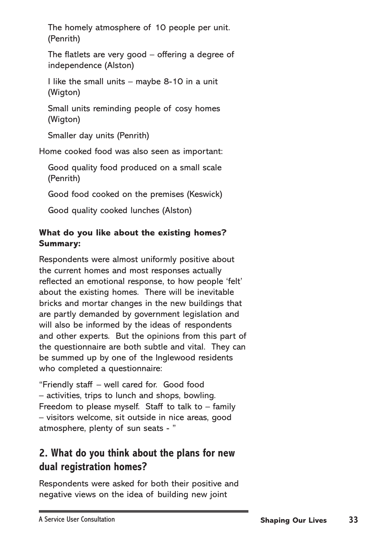The homely atmosphere of 10 people per unit. (Penrith)

The flatlets are very good – offering a degree of independence (Alston)

I like the small units – maybe 8-10 in a unit (Wigton)

Small units reminding people of cosy homes (Wigton)

Smaller day units (Penrith)

Home cooked food was also seen as important:

Good quality food produced on a small scale (Penrith)

Good food cooked on the premises (Keswick)

Good quality cooked lunches (Alston)

#### **What do you like about the existing homes? Summary:**

Respondents were almost uniformly positive about the current homes and most responses actually reflected an emotional response, to how people 'felt' about the existing homes. There will be inevitable bricks and mortar changes in the new buildings that are partly demanded by government legislation and will also be informed by the ideas of respondents and other experts. But the opinions from this part of the questionnaire are both subtle and vital. They can be summed up by one of the Inglewood residents who completed a questionnaire:

"Friendly staff – well cared for. Good food – activities, trips to lunch and shops, bowling. Freedom to please myself. Staff to talk to  $-$  family – visitors welcome, sit outside in nice areas, good atmosphere, plenty of sun seats - "

# **2. What do you think about the plans for new dual registration homes?**

Respondents were asked for both their positive and negative views on the idea of building new joint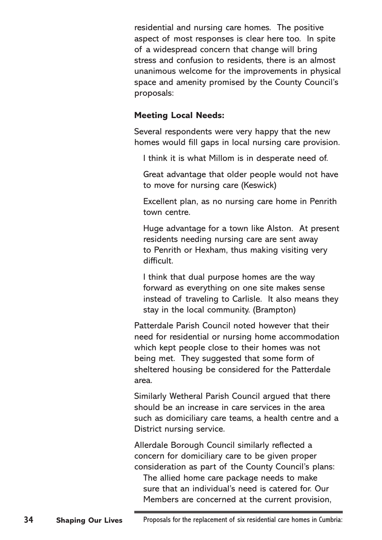residential and nursing care homes. The positive aspect of most responses is clear here too. In spite of a widespread concern that change will bring stress and confusion to residents, there is an almost unanimous welcome for the improvements in physical space and amenity promised by the County Council's proposals:

#### **Meeting Local Needs:**

Several respondents were very happy that the new homes would fill gaps in local nursing care provision.

I think it is what Millom is in desperate need of.

Great advantage that older people would not have to move for nursing care (Keswick)

Excellent plan, as no nursing care home in Penrith town centre.

Huge advantage for a town like Alston. At present residents needing nursing care are sent away to Penrith or Hexham, thus making visiting very difficult.

I think that dual purpose homes are the way forward as everything on one site makes sense instead of traveling to Carlisle. It also means they stay in the local community. (Brampton)

Patterdale Parish Council noted however that their need for residential or nursing home accommodation which kept people close to their homes was not being met. They suggested that some form of sheltered housing be considered for the Patterdale area.

Similarly Wetheral Parish Council argued that there should be an increase in care services in the area such as domiciliary care teams, a health centre and a District nursing service.

Allerdale Borough Council similarly reflected a concern for domiciliary care to be given proper consideration as part of the County Council's plans:

The allied home care package needs to make sure that an individual's need is catered for. Our Members are concerned at the current provision,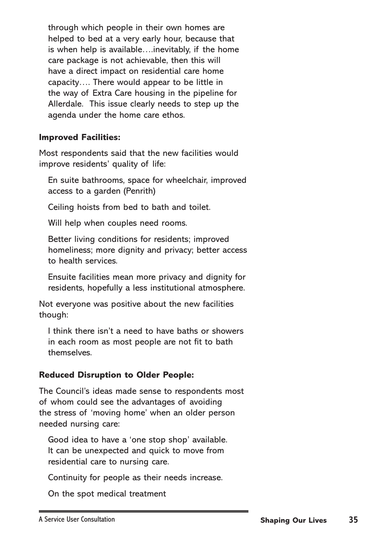through which people in their own homes are helped to bed at a very early hour, because that is when help is available….inevitably, if the home care package is not achievable, then this will have a direct impact on residential care home capacity…. There would appear to be little in the way of Extra Care housing in the pipeline for Allerdale. This issue clearly needs to step up the agenda under the home care ethos.

#### **Improved Facilities:**

Most respondents said that the new facilities would improve residents' quality of life:

En suite bathrooms, space for wheelchair, improved access to a garden (Penrith)

Ceiling hoists from bed to bath and toilet.

Will help when couples need rooms.

Better living conditions for residents; improved homeliness; more dignity and privacy; better access to health services.

Ensuite facilities mean more privacy and dignity for residents, hopefully a less institutional atmosphere.

Not everyone was positive about the new facilities though:

I think there isn't a need to have baths or showers in each room as most people are not fit to bath themselves.

#### **Reduced Disruption to Older People:**

The Council's ideas made sense to respondents most of whom could see the advantages of avoiding the stress of 'moving home' when an older person needed nursing care:

Good idea to have a 'one stop shop' available. It can be unexpected and quick to move from residential care to nursing care.

Continuity for people as their needs increase.

On the spot medical treatment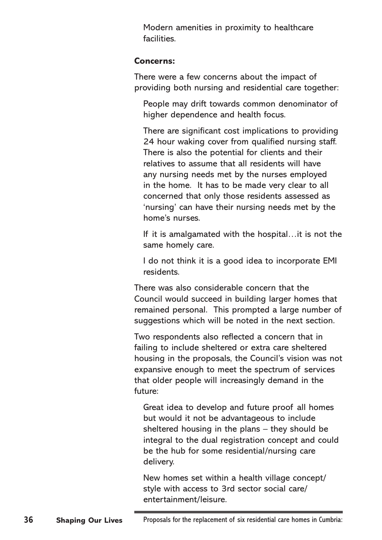Modern amenities in proximity to healthcare facilities.

#### **Concerns:**

There were a few concerns about the impact of providing both nursing and residential care together:

People may drift towards common denominator of higher dependence and health focus.

There are significant cost implications to providing 24 hour waking cover from qualified nursing staff. There is also the potential for clients and their relatives to assume that all residents will have any nursing needs met by the nurses employed in the home. It has to be made very clear to all concerned that only those residents assessed as 'nursing' can have their nursing needs met by the home's nurses.

If it is amalgamated with the hospital…it is not the same homely care.

I do not think it is a good idea to incorporate EMI residents.

There was also considerable concern that the Council would succeed in building larger homes that remained personal. This prompted a large number of suggestions which will be noted in the next section.

Two respondents also reflected a concern that in failing to include sheltered or extra care sheltered housing in the proposals, the Council's vision was not expansive enough to meet the spectrum of services that older people will increasingly demand in the future:

Great idea to develop and future proof all homes but would it not be advantageous to include sheltered housing in the plans – they should be integral to the dual registration concept and could be the hub for some residential/nursing care delivery.

New homes set within a health village concept/ style with access to 3rd sector social care/ entertainment/leisure.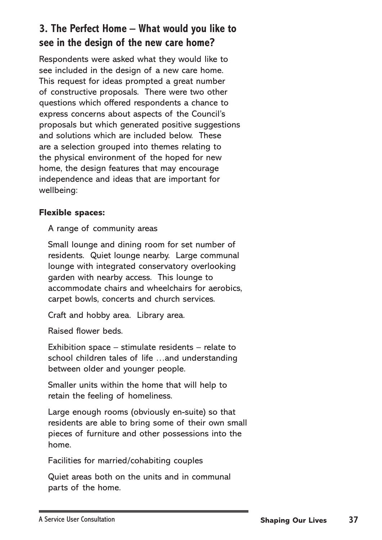## **3. The Perfect Home – What would you like to see in the design of the new care home?**

Respondents were asked what they would like to see included in the design of a new care home. This request for ideas prompted a great number of constructive proposals. There were two other questions which offered respondents a chance to express concerns about aspects of the Council's proposals but which generated positive suggestions and solutions which are included below. These are a selection grouped into themes relating to the physical environment of the hoped for new home, the design features that may encourage independence and ideas that are important for wellbeing:

### **Flexible spaces:**

A range of community areas

Small lounge and dining room for set number of residents. Quiet lounge nearby. Large communal lounge with integrated conservatory overlooking garden with nearby access. This lounge to accommodate chairs and wheelchairs for aerobics, carpet bowls, concerts and church services.

Craft and hobby area. Library area.

Raised flower beds.

Exhibition space – stimulate residents – relate to school children tales of life …and understanding between older and younger people.

Smaller units within the home that will help to retain the feeling of homeliness.

Large enough rooms (obviously en-suite) so that residents are able to bring some of their own small pieces of furniture and other possessions into the home.

Facilities for married/cohabiting couples

Quiet areas both on the units and in communal parts of the home.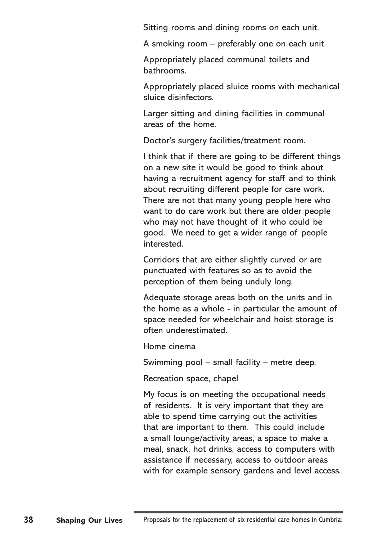Sitting rooms and dining rooms on each unit.

A smoking room – preferably one on each unit.

Appropriately placed communal toilets and bathrooms.

Appropriately placed sluice rooms with mechanical sluice disinfectors.

Larger sitting and dining facilities in communal areas of the home.

Doctor's surgery facilities/treatment room.

I think that if there are going to be different things on a new site it would be good to think about having a recruitment agency for staff and to think about recruiting different people for care work. There are not that many young people here who want to do care work but there are older people who may not have thought of it who could be good. We need to get a wider range of people interested.

Corridors that are either slightly curved or are punctuated with features so as to avoid the perception of them being unduly long.

Adequate storage areas both on the units and in the home as a whole - in particular the amount of space needed for wheelchair and hoist storage is often underestimated.

Home cinema

Swimming pool – small facility – metre deep.

Recreation space, chapel

My focus is on meeting the occupational needs of residents. It is very important that they are able to spend time carrying out the activities that are important to them. This could include a small lounge/activity areas, a space to make a meal, snack, hot drinks, access to computers with assistance if necessary, access to outdoor areas with for example sensory gardens and level access.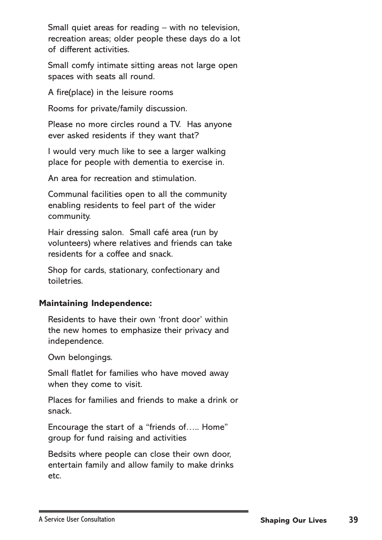Small quiet areas for reading – with no television, recreation areas; older people these days do a lot of different activities.

Small comfy intimate sitting areas not large open spaces with seats all round.

A fire(place) in the leisure rooms

Rooms for private/family discussion.

Please no more circles round a TV. Has anyone ever asked residents if they want that?

I would very much like to see a larger walking place for people with dementia to exercise in.

An area for recreation and stimulation.

Communal facilities open to all the community enabling residents to feel part of the wider community.

Hair dressing salon. Small café area (run by volunteers) where relatives and friends can take residents for a coffee and snack.

Shop for cards, stationary, confectionary and toiletries.

#### **Maintaining Independence:**

Residents to have their own 'front door' within the new homes to emphasize their privacy and independence.

Own belongings.

Small flatlet for families who have moved away when they come to visit.

Places for families and friends to make a drink or snack.

Encourage the start of a "friends of….. Home" group for fund raising and activities

Bedsits where people can close their own door, entertain family and allow family to make drinks etc.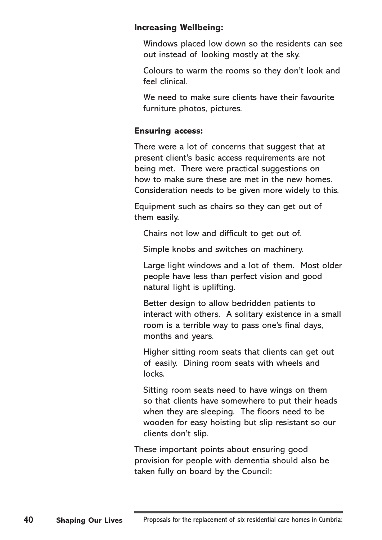#### **Increasing Wellbeing:**

Windows placed low down so the residents can see out instead of looking mostly at the sky.

Colours to warm the rooms so they don't look and feel clinical.

We need to make sure clients have their favourite furniture photos, pictures.

#### **Ensuring access:**

There were a lot of concerns that suggest that at present client's basic access requirements are not being met. There were practical suggestions on how to make sure these are met in the new homes. Consideration needs to be given more widely to this.

Equipment such as chairs so they can get out of them easily.

Chairs not low and difficult to get out of.

Simple knobs and switches on machinery.

Large light windows and a lot of them. Most older people have less than perfect vision and good natural light is uplifting.

Better design to allow bedridden patients to interact with others. A solitary existence in a small room is a terrible way to pass one's final days, months and years.

Higher sitting room seats that clients can get out of easily. Dining room seats with wheels and locks.

Sitting room seats need to have wings on them so that clients have somewhere to put their heads when they are sleeping. The floors need to be wooden for easy hoisting but slip resistant so our clients don't slip.

These important points about ensuring good provision for people with dementia should also be taken fully on board by the Council: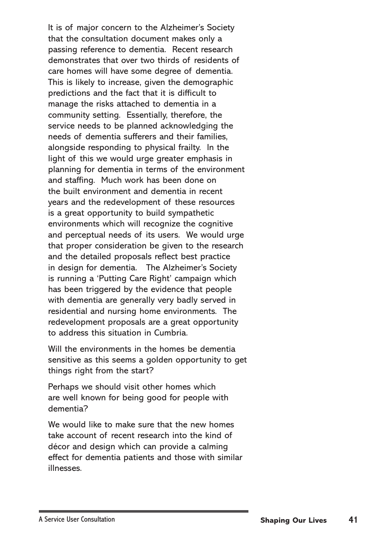It is of major concern to the Alzheimer's Society that the consultation document makes only a passing reference to dementia. Recent research demonstrates that over two thirds of residents of care homes will have some degree of dementia. This is likely to increase, given the demographic predictions and the fact that it is difficult to manage the risks attached to dementia in a community setting. Essentially, therefore, the service needs to be planned acknowledging the needs of dementia sufferers and their families, alongside responding to physical frailty. In the light of this we would urge greater emphasis in planning for dementia in terms of the environment and staffing. Much work has been done on the built environment and dementia in recent years and the redevelopment of these resources is a great opportunity to build sympathetic environments which will recognize the cognitive and perceptual needs of its users. We would urge that proper consideration be given to the research and the detailed proposals reflect best practice in design for dementia. The Alzheimer's Society is running a 'Putting Care Right' campaign which has been triggered by the evidence that people with dementia are generally very badly served in residential and nursing home environments. The redevelopment proposals are a great opportunity to address this situation in Cumbria.

Will the environments in the homes be dementia sensitive as this seems a golden opportunity to get things right from the start?

Perhaps we should visit other homes which are well known for being good for people with dementia?

We would like to make sure that the new homes take account of recent research into the kind of décor and design which can provide a calming effect for dementia patients and those with similar illnesses.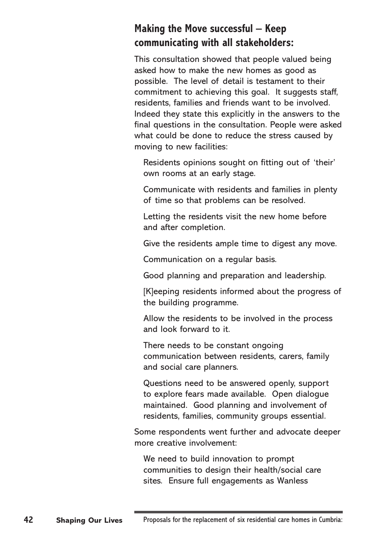## **Making the Move successful – Keep communicating with all stakeholders:**

This consultation showed that people valued being asked how to make the new homes as good as possible. The level of detail is testament to their commitment to achieving this goal. It suggests staff, residents, families and friends want to be involved. Indeed they state this explicitly in the answers to the final questions in the consultation. People were asked what could be done to reduce the stress caused by moving to new facilities:

Residents opinions sought on fitting out of 'their' own rooms at an early stage.

Communicate with residents and families in plenty of time so that problems can be resolved.

Letting the residents visit the new home before and after completion.

Give the residents ample time to digest any move.

Communication on a regular basis.

Good planning and preparation and leadership.

[K]eeping residents informed about the progress of the building programme.

Allow the residents to be involved in the process and look forward to it.

There needs to be constant ongoing communication between residents, carers, family and social care planners.

Questions need to be answered openly, support to explore fears made available. Open dialogue maintained. Good planning and involvement of residents, families, community groups essential.

Some respondents went further and advocate deeper more creative involvement:

We need to build innovation to prompt communities to design their health/social care sites. Ensure full engagements as Wanless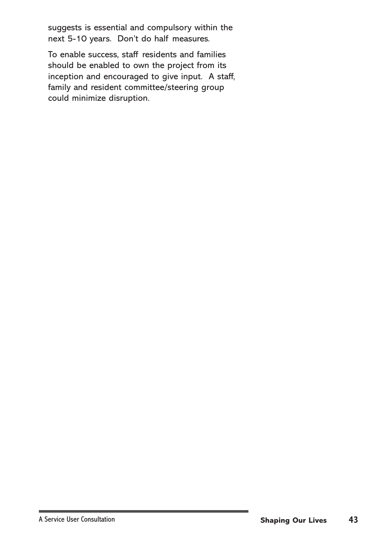suggests is essential and compulsory within the next 5-10 years. Don't do half measures.

To enable success, staff residents and families should be enabled to own the project from its inception and encouraged to give input. A staff, family and resident committee/steering group could minimize disruption.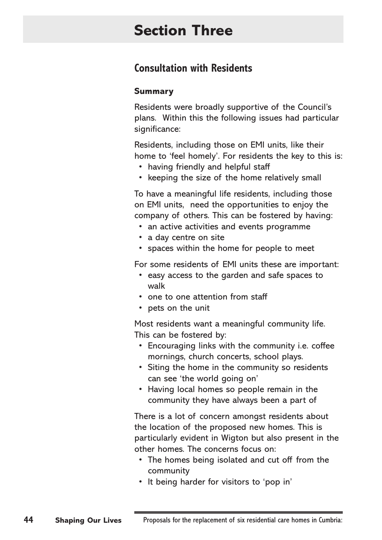# **Section Three**

## **Consultation with Residents**

#### **Summary**

Residents were broadly supportive of the Council's plans. Within this the following issues had particular significance:

Residents, including those on EMI units, like their home to 'feel homely'. For residents the key to this is:

- having friendly and helpful staff
- keeping the size of the home relatively small

To have a meaningful life residents, including those on EMI units, need the opportunities to enjoy the company of others. This can be fostered by having:

- an active activities and events programme
- a day centre on site
- spaces within the home for people to meet

For some residents of EMI units these are important:

- easy access to the garden and safe spaces to walk
- one to one attention from staff
- pets on the unit

Most residents want a meaningful community life. This can be fostered by:

- Encouraging links with the community i.e. coffee mornings, church concerts, school plays.
- Siting the home in the community so residents can see 'the world going on'
- Having local homes so people remain in the community they have always been a part of

There is a lot of concern amongst residents about the location of the proposed new homes. This is particularly evident in Wigton but also present in the other homes. The concerns focus on:

- The homes being isolated and cut off from the community
- It being harder for visitors to 'pop in'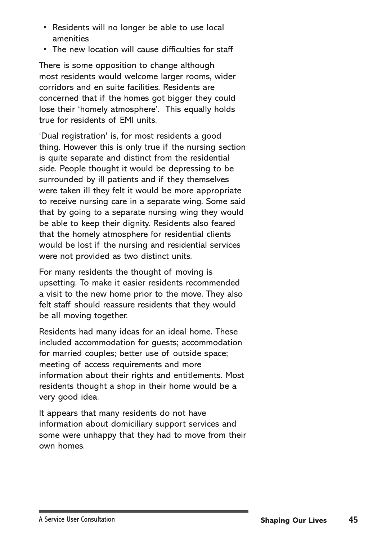- Residents will no longer be able to use local amenities
- The new location will cause difficulties for staff

There is some opposition to change although most residents would welcome larger rooms, wider corridors and en suite facilities. Residents are concerned that if the homes got bigger they could lose their 'homely atmosphere'. This equally holds true for residents of EMI units.

'Dual registration' is, for most residents a good thing. However this is only true if the nursing section is quite separate and distinct from the residential side. People thought it would be depressing to be surrounded by ill patients and if they themselves were taken ill they felt it would be more appropriate to receive nursing care in a separate wing. Some said that by going to a separate nursing wing they would be able to keep their dignity. Residents also feared that the homely atmosphere for residential clients would be lost if the nursing and residential services were not provided as two distinct units.

For many residents the thought of moving is upsetting. To make it easier residents recommended a visit to the new home prior to the move. They also felt staff should reassure residents that they would be all moving together.

Residents had many ideas for an ideal home. These included accommodation for guests; accommodation for married couples; better use of outside space; meeting of access requirements and more information about their rights and entitlements. Most residents thought a shop in their home would be a very good idea.

It appears that many residents do not have information about domiciliary support services and some were unhappy that they had to move from their own homes.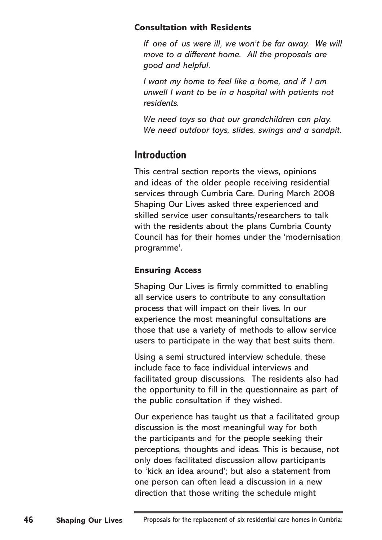#### **Consultation with Residents**

*If one of us were ill, we won't be far away. We will move to a different home. All the proposals are good and helpful.*

*I want my home to feel like a home, and if I am unwell I want to be in a hospital with patients not residents.*

*We need toys so that our grandchildren can play. We need outdoor toys, slides, swings and a sandpit.*

## **Introduction**

This central section reports the views, opinions and ideas of the older people receiving residential services through Cumbria Care. During March 2008 Shaping Our Lives asked three experienced and skilled service user consultants/researchers to talk with the residents about the plans Cumbria County Council has for their homes under the 'modernisation programme'.

## **Ensuring Access**

Shaping Our Lives is firmly committed to enabling all service users to contribute to any consultation process that will impact on their lives. In our experience the most meaningful consultations are those that use a variety of methods to allow service users to participate in the way that best suits them.

Using a semi structured interview schedule, these include face to face individual interviews and facilitated group discussions. The residents also had the opportunity to fill in the questionnaire as part of the public consultation if they wished.

Our experience has taught us that a facilitated group discussion is the most meaningful way for both the participants and for the people seeking their perceptions, thoughts and ideas. This is because, not only does facilitated discussion allow participants to 'kick an idea around'; but also a statement from one person can often lead a discussion in a new direction that those writing the schedule might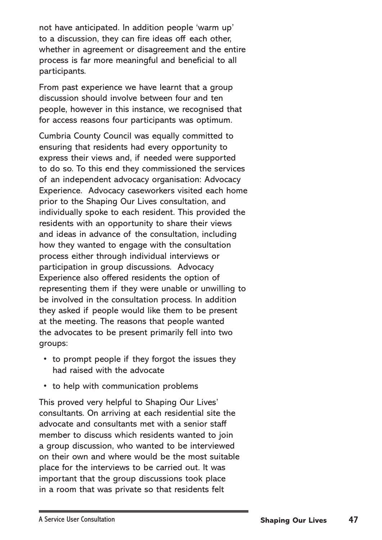not have anticipated. In addition people 'warm up' to a discussion, they can fire ideas off each other, whether in agreement or disagreement and the entire process is far more meaningful and beneficial to all participants.

From past experience we have learnt that a group discussion should involve between four and ten people, however in this instance, we recognised that for access reasons four participants was optimum.

Cumbria County Council was equally committed to ensuring that residents had every opportunity to express their views and, if needed were supported to do so. To this end they commissioned the services of an independent advocacy organisation: Advocacy Experience. Advocacy caseworkers visited each home prior to the Shaping Our Lives consultation, and individually spoke to each resident. This provided the residents with an opportunity to share their views and ideas in advance of the consultation, including how they wanted to engage with the consultation process either through individual interviews or participation in group discussions. Advocacy Experience also offered residents the option of representing them if they were unable or unwilling to be involved in the consultation process. In addition they asked if people would like them to be present at the meeting. The reasons that people wanted the advocates to be present primarily fell into two groups:

- to prompt people if they forgot the issues they had raised with the advocate
- to help with communication problems

This proved very helpful to Shaping Our Lives' consultants. On arriving at each residential site the advocate and consultants met with a senior staff member to discuss which residents wanted to join a group discussion, who wanted to be interviewed on their own and where would be the most suitable place for the interviews to be carried out. It was important that the group discussions took place in a room that was private so that residents felt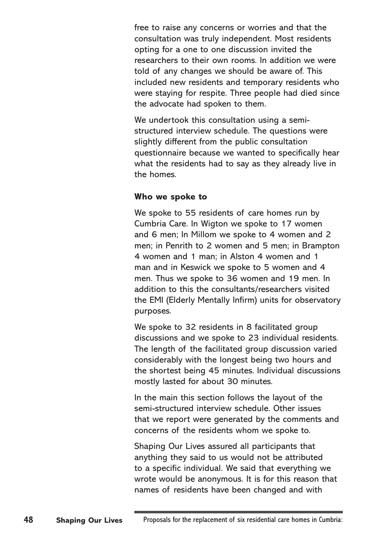free to raise any concerns or worries and that the consultation was truly independent. Most residents opting for a one to one discussion invited the researchers to their own rooms. In addition we were told of any changes we should be aware of. This included new residents and temporary residents who were staying for respite. Three people had died since the advocate had spoken to them.

We undertook this consultation using a semistructured interview schedule. The questions were slightly different from the public consultation questionnaire because we wanted to specifically hear what the residents had to say as they already live in the homes.

#### **Who we spoke to**

We spoke to 55 residents of care homes run by Cumbria Care. In Wigton we spoke to 17 women and 6 men; In Millom we spoke to 4 women and 2 men; in Penrith to 2 women and 5 men; in Brampton 4 women and 1 man; in Alston 4 women and 1 man and in Keswick we spoke to 5 women and 4 men. Thus we spoke to 36 women and 19 men. In addition to this the consultants/researchers visited the EMI (Elderly Mentally Infirm) units for observatory purposes.

We spoke to 32 residents in 8 facilitated group discussions and we spoke to 23 individual residents. The length of the facilitated group discussion varied considerably with the longest being two hours and the shortest being 45 minutes. Individual discussions mostly lasted for about 30 minutes.

In the main this section follows the layout of the semi-structured interview schedule. Other issues that we report were generated by the comments and concerns of the residents whom we spoke to.

Shaping Our Lives assured all participants that anything they said to us would not be attributed to a specific individual. We said that everything we wrote would be anonymous. It is for this reason that names of residents have been changed and with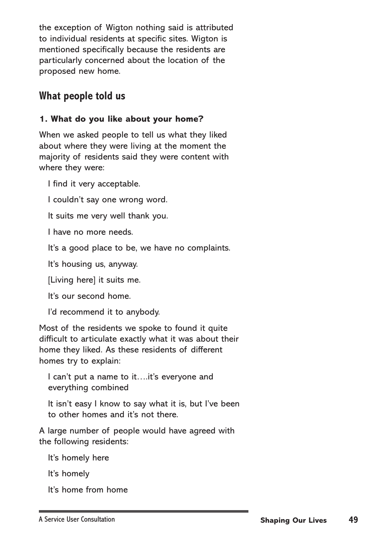the exception of Wigton nothing said is attributed to individual residents at specific sites. Wigton is mentioned specifically because the residents are particularly concerned about the location of the proposed new home.

## **What people told us**

### **1. What do you like about your home?**

When we asked people to tell us what they liked about where they were living at the moment the majority of residents said they were content with where they were:

I find it very acceptable.

I couldn't say one wrong word.

It suits me very well thank you.

I have no more needs.

It's a good place to be, we have no complaints.

It's housing us, anyway.

[Living here] it suits me.

It's our second home.

I'd recommend it to anybody.

Most of the residents we spoke to found it quite difficult to articulate exactly what it was about their home they liked. As these residents of different homes try to explain:

I can't put a name to it….it's everyone and everything combined

It isn't easy I know to say what it is, but I've been to other homes and it's not there.

A large number of people would have agreed with the following residents:

It's homely here

It's homely

It's home from home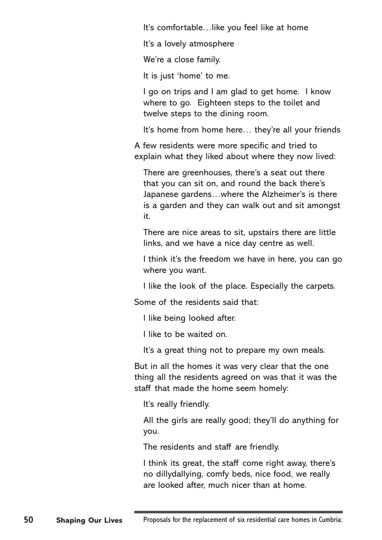It's comfortable…like you feel like at home

It's a lovely atmosphere

We're a close family.

It is just 'home' to me.

I go on trips and I am glad to get home. I know where to go. Eighteen steps to the toilet and twelve steps to the dining room.

It's home from home here... they're all your friends

A few residents were more specific and tried to explain what they liked about where they now lived:

There are greenhouses, there's a seat out there that you can sit on, and round the back there's Japanese gardens…where the Alzheimer's is there is a garden and they can walk out and sit amongst it.

There are nice areas to sit, upstairs there are little links, and we have a nice day centre as well.

I think it's the freedom we have in here, you can go where you want.

I like the look of the place. Especially the carpets.

Some of the residents said that:

I like being looked after.

I like to be waited on.

It's a great thing not to prepare my own meals.

But in all the homes it was very clear that the one thing all the residents agreed on was that it was the staff that made the home seem homely:

It's really friendly.

All the girls are really good; they'll do anything for you.

The residents and staff are friendly.

I think its great, the staff come right away, there's no dillydallying, comfy beds, nice food, we really are looked after, much nicer than at home.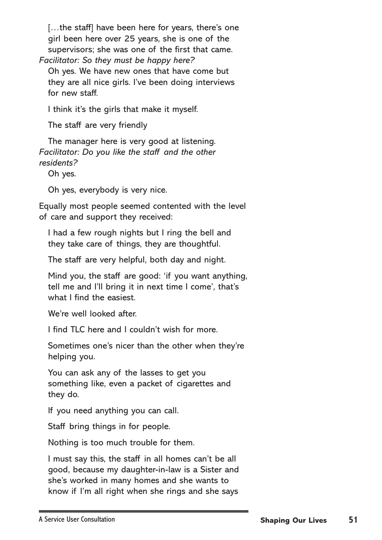[...the staff] have been here for years, there's one girl been here over 25 years, she is one of the supervisors; she was one of the first that came. *Facilitator: So they must be happy here?*

Oh yes. We have new ones that have come but they are all nice girls. I've been doing interviews for new staff.

I think it's the girls that make it myself.

The staff are very friendly

The manager here is very good at listening. *Facilitator: Do you like the staff and the other residents?* 

Oh yes.

Oh yes, everybody is very nice.

Equally most people seemed contented with the level of care and support they received:

I had a few rough nights but I ring the bell and they take care of things, they are thoughtful.

The staff are very helpful, both day and night.

Mind you, the staff are good: 'if you want anything, tell me and I'll bring it in next time I come', that's what I find the easiest.

We're well looked after.

I find TLC here and I couldn't wish for more.

Sometimes one's nicer than the other when they're helping you.

You can ask any of the lasses to get you something like, even a packet of cigarettes and they do.

If you need anything you can call.

Staff bring things in for people.

Nothing is too much trouble for them.

I must say this, the staff in all homes can't be all good, because my daughter-in-law is a Sister and she's worked in many homes and she wants to know if I'm all right when she rings and she says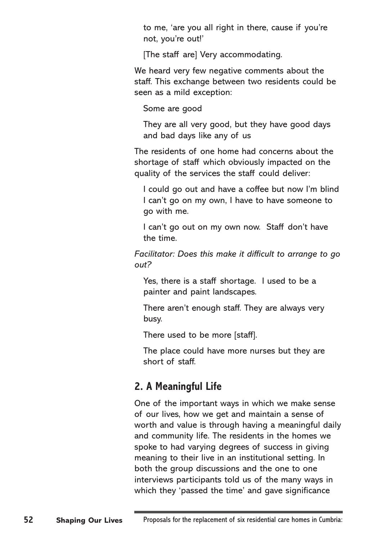to me, 'are you all right in there, cause if you're not, you're out!'

[The staff are] Very accommodating.

We heard very few negative comments about the staff. This exchange between two residents could be seen as a mild exception:

Some are good

They are all very good, but they have good days and bad days like any of us

The residents of one home had concerns about the shortage of staff which obviously impacted on the quality of the services the staff could deliver:

I could go out and have a coffee but now I'm blind I can't go on my own, I have to have someone to go with me.

I can't go out on my own now. Staff don't have the time.

*Facilitator: Does this make it difficult to arrange to go out?*

Yes, there is a staff shortage. I used to be a painter and paint landscapes.

There aren't enough staff. They are always very busy.

There used to be more [staff].

The place could have more nurses but they are short of staff.

## **2. A Meaningful Life**

One of the important ways in which we make sense of our lives, how we get and maintain a sense of worth and value is through having a meaningful daily and community life. The residents in the homes we spoke to had varying degrees of success in giving meaning to their live in an institutional setting. In both the group discussions and the one to one interviews participants told us of the many ways in which they 'passed the time' and gave significance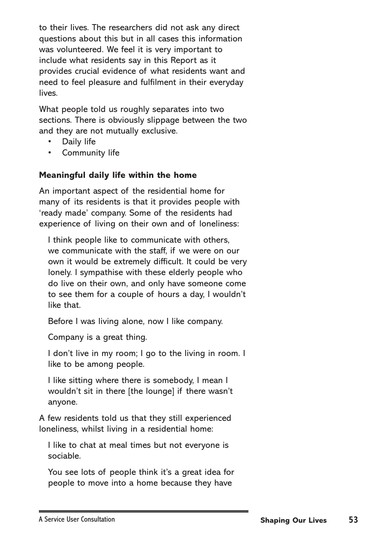to their lives. The researchers did not ask any direct questions about this but in all cases this information was volunteered. We feel it is very important to include what residents say in this Report as it provides crucial evidence of what residents want and need to feel pleasure and fulfilment in their everyday lives.

What people told us roughly separates into two sections. There is obviously slippage between the two and they are not mutually exclusive.

- Daily life
- Community life

### **Meaningful daily life within the home**

An important aspect of the residential home for many of its residents is that it provides people with 'ready made' company. Some of the residents had experience of living on their own and of loneliness:

I think people like to communicate with others, we communicate with the staff, if we were on our own it would be extremely difficult. It could be very lonely. I sympathise with these elderly people who do live on their own, and only have someone come to see them for a couple of hours a day, I wouldn't like that.

Before I was living alone, now I like company.

Company is a great thing.

I don't live in my room; I go to the living in room. I like to be among people.

I like sitting where there is somebody, I mean I wouldn't sit in there [the lounge] if there wasn't anyone.

A few residents told us that they still experienced loneliness, whilst living in a residential home:

I like to chat at meal times but not everyone is sociable.

You see lots of people think it's a great idea for people to move into a home because they have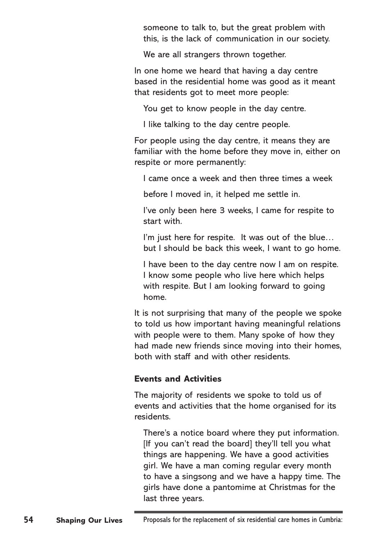someone to talk to, but the great problem with this, is the lack of communication in our society.

We are all strangers thrown together.

In one home we heard that having a day centre based in the residential home was good as it meant that residents got to meet more people:

You get to know people in the day centre.

I like talking to the day centre people.

For people using the day centre, it means they are familiar with the home before they move in, either on respite or more permanently:

I came once a week and then three times a week

before I moved in, it helped me settle in.

I've only been here 3 weeks, I came for respite to start with.

I'm just here for respite. It was out of the blue... but I should be back this week, I want to go home.

I have been to the day centre now I am on respite. I know some people who live here which helps with respite. But I am looking forward to going home.

It is not surprising that many of the people we spoke to told us how important having meaningful relations with people were to them. Many spoke of how they had made new friends since moving into their homes, both with staff and with other residents.

#### **Events and Activities**

The majority of residents we spoke to told us of events and activities that the home organised for its residents.

There's a notice board where they put information. [If you can't read the board] they'll tell you what things are happening. We have a good activities girl. We have a man coming regular every month to have a singsong and we have a happy time. The girls have done a pantomime at Christmas for the last three years.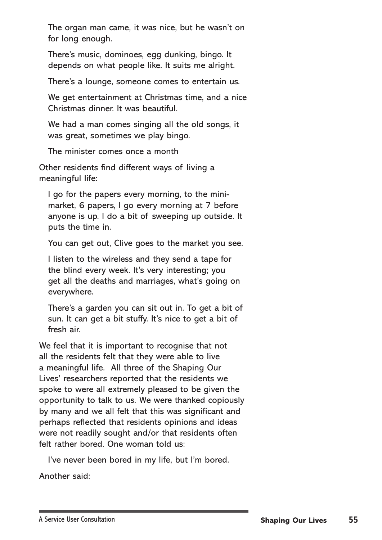The organ man came, it was nice, but he wasn't on for long enough.

There's music, dominoes, egg dunking, bingo. It depends on what people like. It suits me alright.

There's a lounge, someone comes to entertain us.

We get entertainment at Christmas time, and a nice Christmas dinner. It was beautiful.

We had a man comes singing all the old songs, it was great, sometimes we play bingo.

The minister comes once a month

Other residents find different ways of living a meaningful life:

I go for the papers every morning, to the minimarket, 6 papers, I go every morning at 7 before anyone is up. I do a bit of sweeping up outside. It puts the time in.

You can get out, Clive goes to the market you see.

I listen to the wireless and they send a tape for the blind every week. It's very interesting; you get all the deaths and marriages, what's going on everywhere.

There's a garden you can sit out in. To get a bit of sun. It can get a bit stuffy. It's nice to get a bit of fresh air.

We feel that it is important to recognise that not all the residents felt that they were able to live a meaningful life. All three of the Shaping Our Lives' researchers reported that the residents we spoke to were all extremely pleased to be given the opportunity to talk to us. We were thanked copiously by many and we all felt that this was significant and perhaps reflected that residents opinions and ideas were not readily sought and/or that residents often felt rather bored. One woman told us:

I've never been bored in my life, but I'm bored.

Another said: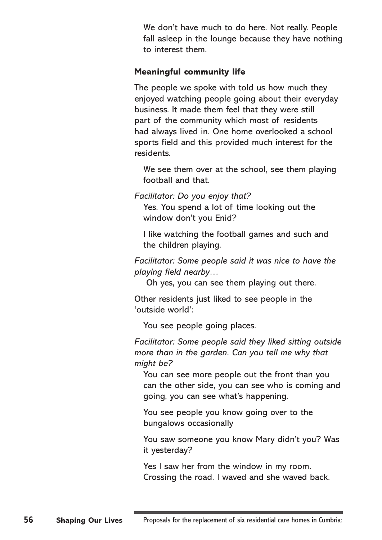We don't have much to do here. Not really. People fall asleep in the lounge because they have nothing to interest them.

#### **Meaningful community life**

The people we spoke with told us how much they enjoyed watching people going about their everyday business. It made them feel that they were still part of the community which most of residents had always lived in. One home overlooked a school sports field and this provided much interest for the residents.

We see them over at the school, see them playing football and that.

*Facilitator: Do you enjoy that?*

Yes. You spend a lot of time looking out the window don't you Enid?

I like watching the football games and such and the children playing.

*Facilitator: Some people said it was nice to have the playing field nearby…*

Oh yes, you can see them playing out there.

Other residents just liked to see people in the 'outside world':

You see people going places.

*Facilitator: Some people said they liked sitting outside more than in the garden. Can you tell me why that might be?* 

You can see more people out the front than you can the other side, you can see who is coming and going, you can see what's happening.

You see people you know going over to the bungalows occasionally

You saw someone you know Mary didn't you? Was it yesterday?

Yes I saw her from the window in my room. Crossing the road. I waved and she waved back.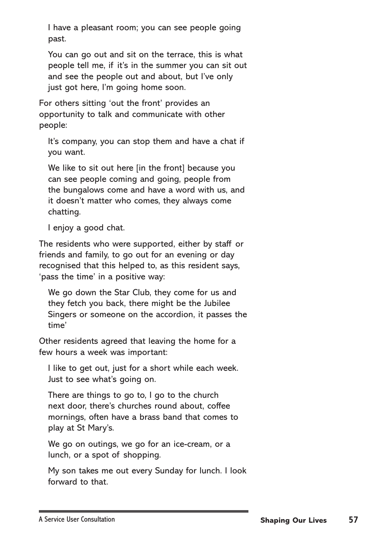I have a pleasant room; you can see people going past.

You can go out and sit on the terrace, this is what people tell me, if it's in the summer you can sit out and see the people out and about, but I've only just got here, I'm going home soon.

For others sitting 'out the front' provides an opportunity to talk and communicate with other people:

It's company, you can stop them and have a chat if you want.

We like to sit out here [in the front] because you can see people coming and going, people from the bungalows come and have a word with us, and it doesn't matter who comes, they always come chatting.

I enjoy a good chat.

The residents who were supported, either by staff or friends and family, to go out for an evening or day recognised that this helped to, as this resident says, 'pass the time' in a positive way:

We go down the Star Club, they come for us and they fetch you back, there might be the Jubilee Singers or someone on the accordion, it passes the time'

Other residents agreed that leaving the home for a few hours a week was important:

I like to get out, just for a short while each week. Just to see what's going on.

There are things to go to, I go to the church next door, there's churches round about, coffee mornings, often have a brass band that comes to play at St Mary's.

We go on outings, we go for an ice-cream, or a lunch, or a spot of shopping.

My son takes me out every Sunday for lunch. I look forward to that.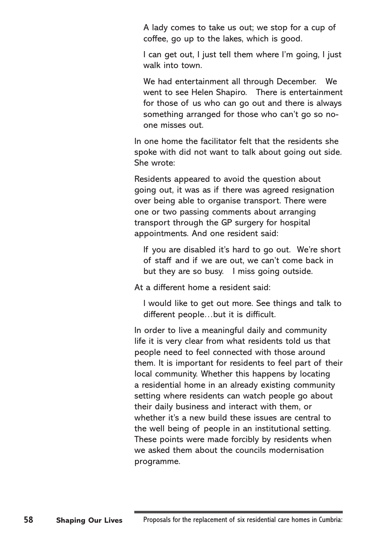A lady comes to take us out; we stop for a cup of coffee, go up to the lakes, which is good.

I can get out, I just tell them where I'm going, I just walk into town.

We had entertainment all through December. We went to see Helen Shapiro. There is entertainment for those of us who can go out and there is always something arranged for those who can't go so noone misses out.

In one home the facilitator felt that the residents she spoke with did not want to talk about going out side. She wrote:

Residents appeared to avoid the question about going out, it was as if there was agreed resignation over being able to organise transport. There were one or two passing comments about arranging transport through the GP surgery for hospital appointments. And one resident said:

If you are disabled it's hard to go out. We're short of staff and if we are out, we can't come back in but they are so busy. I miss going outside.

At a different home a resident said:

I would like to get out more. See things and talk to different people…but it is difficult.

In order to live a meaningful daily and community life it is very clear from what residents told us that people need to feel connected with those around them. It is important for residents to feel part of their local community. Whether this happens by locating a residential home in an already existing community setting where residents can watch people go about their daily business and interact with them, or whether it's a new build these issues are central to the well being of people in an institutional setting. These points were made forcibly by residents when we asked them about the councils modernisation programme.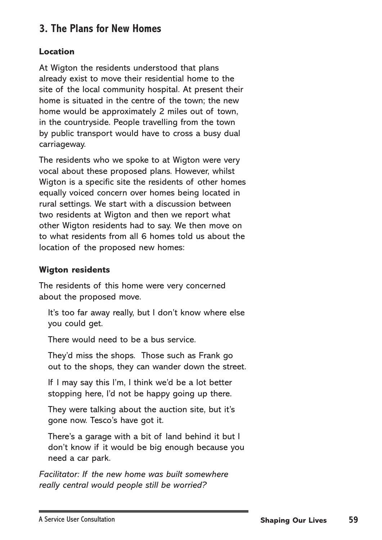## **3. The Plans for New Homes**

### **Location**

At Wigton the residents understood that plans already exist to move their residential home to the site of the local community hospital. At present their home is situated in the centre of the town; the new home would be approximately 2 miles out of town, in the countryside. People travelling from the town by public transport would have to cross a busy dual carriageway.

The residents who we spoke to at Wigton were very vocal about these proposed plans. However, whilst Wigton is a specific site the residents of other homes equally voiced concern over homes being located in rural settings. We start with a discussion between two residents at Wigton and then we report what other Wigton residents had to say. We then move on to what residents from all 6 homes told us about the location of the proposed new homes:

## **Wigton residents**

The residents of this home were very concerned about the proposed move.

It's too far away really, but I don't know where else you could get.

There would need to be a bus service.

They'd miss the shops. Those such as Frank go out to the shops, they can wander down the street.

If I may say this I'm, I think we'd be a lot better stopping here, I'd not be happy going up there.

They were talking about the auction site, but it's gone now. Tesco's have got it.

There's a garage with a bit of land behind it but I don't know if it would be big enough because you need a car park.

*Facilitator: If the new home was built somewhere really central would people still be worried?*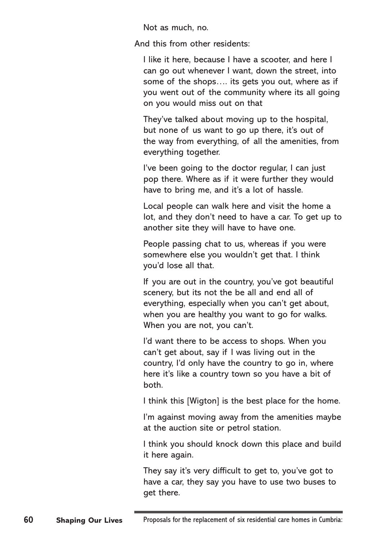Not as much, no.

And this from other residents:

I like it here, because I have a scooter, and here I can go out whenever I want, down the street, into some of the shops…. its gets you out, where as if you went out of the community where its all going on you would miss out on that

They've talked about moving up to the hospital, but none of us want to go up there, it's out of the way from everything, of all the amenities, from everything together.

I've been going to the doctor regular, I can just pop there. Where as if it were further they would have to bring me, and it's a lot of hassle.

Local people can walk here and visit the home a lot, and they don't need to have a car. To get up to another site they will have to have one.

People passing chat to us, whereas if you were somewhere else you wouldn't get that. I think you'd lose all that.

If you are out in the country, you've got beautiful scenery, but its not the be all and end all of everything, especially when you can't get about, when you are healthy you want to go for walks. When you are not, you can't.

I'd want there to be access to shops. When you can't get about, say if I was living out in the country, I'd only have the country to go in, where here it's like a country town so you have a bit of both.

I think this [Wigton] is the best place for the home.

I'm against moving away from the amenities maybe at the auction site or petrol station.

I think you should knock down this place and build it here again.

They say it's very difficult to get to, you've got to have a car, they say you have to use two buses to get there.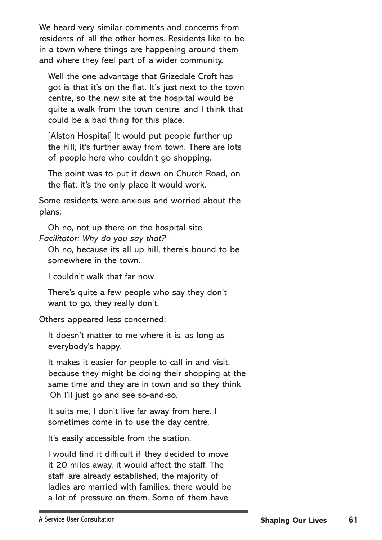We heard very similar comments and concerns from residents of all the other homes. Residents like to be in a town where things are happening around them and where they feel part of a wider community.

Well the one advantage that Grizedale Croft has got is that it's on the flat. It's just next to the town centre, so the new site at the hospital would be quite a walk from the town centre, and I think that could be a bad thing for this place.

[Alston Hospital] It would put people further up the hill, it's further away from town. There are lots of people here who couldn't go shopping.

The point was to put it down on Church Road, on the flat; it's the only place it would work.

Some residents were anxious and worried about the plans:

Oh no, not up there on the hospital site. *Facilitator: Why do you say that?*

Oh no, because its all up hill, there's bound to be somewhere in the town.

I couldn't walk that far now

There's quite a few people who say they don't want to go, they really don't.

Others appeared less concerned:

It doesn't matter to me where it is, as long as everybody's happy.

It makes it easier for people to call in and visit, because they might be doing their shopping at the same time and they are in town and so they think 'Oh I'll just go and see so-and-so.

It suits me, I don't live far away from here. I sometimes come in to use the day centre.

It's easily accessible from the station.

I would find it difficult if they decided to move it 20 miles away, it would affect the staff. The staff are already established, the majority of ladies are married with families, there would be a lot of pressure on them. Some of them have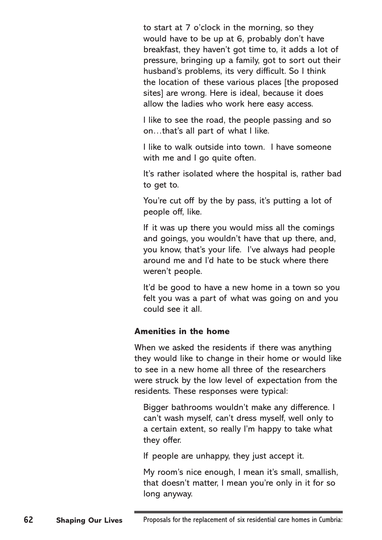to start at 7 o'clock in the morning, so they would have to be up at 6, probably don't have breakfast, they haven't got time to, it adds a lot of pressure, bringing up a family, got to sort out their husband's problems, its very difficult. So I think the location of these various places [the proposed sites] are wrong. Here is ideal, because it does allow the ladies who work here easy access.

I like to see the road, the people passing and so on…that's all part of what I like.

I like to walk outside into town. I have someone with me and I go quite often.

It's rather isolated where the hospital is, rather bad to get to.

You're cut off by the by pass, it's putting a lot of people off, like.

If it was up there you would miss all the comings and goings, you wouldn't have that up there, and, you know, that's your life. I've always had people around me and I'd hate to be stuck where there weren't people.

It'd be good to have a new home in a town so you felt you was a part of what was going on and you could see it all.

#### **Amenities in the home**

When we asked the residents if there was anything they would like to change in their home or would like to see in a new home all three of the researchers were struck by the low level of expectation from the residents. These responses were typical:

Bigger bathrooms wouldn't make any difference. I can't wash myself, can't dress myself, well only to a certain extent, so really I'm happy to take what they offer.

If people are unhappy, they just accept it.

My room's nice enough, I mean it's small, smallish, that doesn't matter, I mean you're only in it for so long anyway.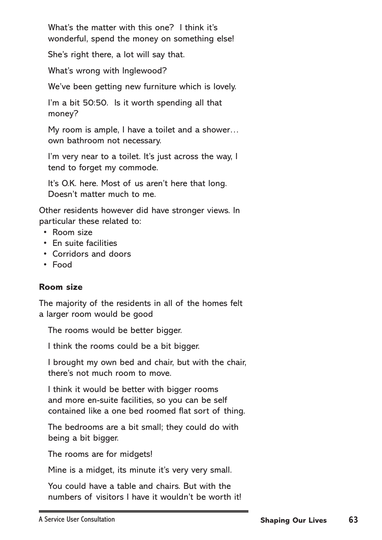What's the matter with this one? I think it's wonderful, spend the money on something else!

She's right there, a lot will say that.

What's wrong with Inglewood?

We've been getting new furniture which is lovely.

I'm a bit 50:50. Is it worth spending all that money?

My room is ample, I have a toilet and a shower… own bathroom not necessary.

I'm very near to a toilet. It's just across the way, I tend to forget my commode.

It's O.K. here. Most of us aren't here that long. Doesn't matter much to me.

Other residents however did have stronger views. In particular these related to:

- Room size
- En suite facilities
- Corridors and doors
- Food

#### **Room size**

The majority of the residents in all of the homes felt a larger room would be good

The rooms would be better bigger.

I think the rooms could be a bit bigger.

I brought my own bed and chair, but with the chair, there's not much room to move.

I think it would be better with bigger rooms and more en-suite facilities, so you can be self contained like a one bed roomed flat sort of thing.

The bedrooms are a bit small; they could do with being a bit bigger.

The rooms are for midgets!

Mine is a midget, its minute it's very very small.

You could have a table and chairs. But with the numbers of visitors I have it wouldn't be worth it!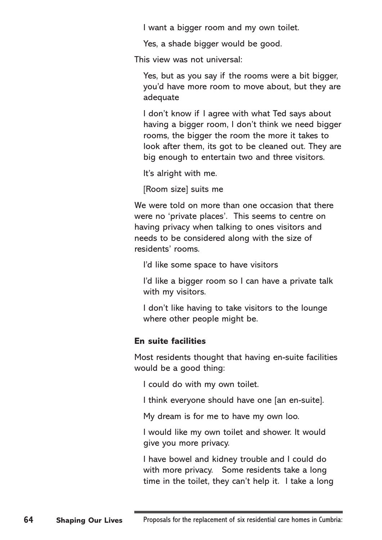I want a bigger room and my own toilet.

Yes, a shade bigger would be good.

This view was not universal:

Yes, but as you say if the rooms were a bit bigger, you'd have more room to move about, but they are adequate

I don't know if I agree with what Ted says about having a bigger room, I don't think we need bigger rooms, the bigger the room the more it takes to look after them, its got to be cleaned out. They are big enough to entertain two and three visitors.

It's alright with me.

[Room size] suits me

We were told on more than one occasion that there were no 'private places'. This seems to centre on having privacy when talking to ones visitors and needs to be considered along with the size of residents' rooms.

I'd like some space to have visitors

I'd like a bigger room so I can have a private talk with my visitors.

I don't like having to take visitors to the lounge where other people might be.

### **En suite facilities**

Most residents thought that having en-suite facilities would be a good thing:

I could do with my own toilet.

I think everyone should have one [an en-suite].

My dream is for me to have my own loo.

I would like my own toilet and shower. It would give you more privacy.

I have bowel and kidney trouble and I could do with more privacy. Some residents take a long time in the toilet, they can't help it. I take a long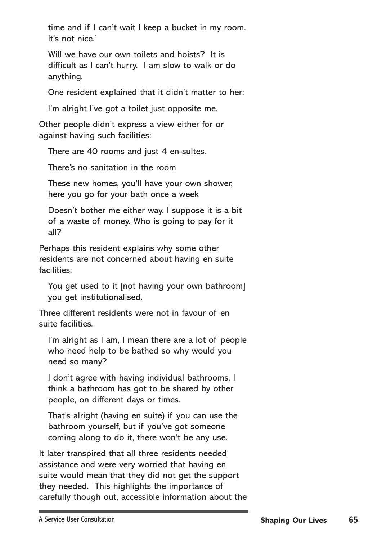time and if I can't wait I keep a bucket in my room. It's not nice.'

Will we have our own toilets and hoists? It is difficult as I can't hurry. I am slow to walk or do anything.

One resident explained that it didn't matter to her:

I'm alright I've got a toilet just opposite me.

Other people didn't express a view either for or against having such facilities:

There are 40 rooms and just 4 en-suites.

There's no sanitation in the room

These new homes, you'll have your own shower, here you go for your bath once a week

Doesn't bother me either way. I suppose it is a bit of a waste of money. Who is going to pay for it all?

Perhaps this resident explains why some other residents are not concerned about having en suite facilities:

You get used to it [not having your own bathroom] you get institutionalised.

Three different residents were not in favour of en suite facilities.

I'm alright as I am, I mean there are a lot of people who need help to be bathed so why would you need so many?

I don't agree with having individual bathrooms, I think a bathroom has got to be shared by other people, on different days or times.

That's alright (having en suite) if you can use the bathroom yourself, but if you've got someone coming along to do it, there won't be any use.

It later transpired that all three residents needed assistance and were very worried that having en suite would mean that they did not get the support they needed. This highlights the importance of carefully though out, accessible information about the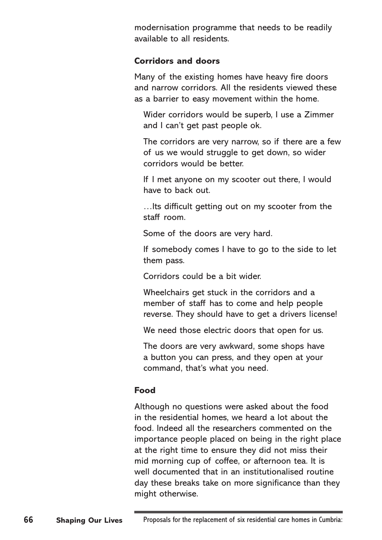modernisation programme that needs to be readily available to all residents.

#### **Corridors and doors**

Many of the existing homes have heavy fire doors and narrow corridors. All the residents viewed these as a barrier to easy movement within the home.

Wider corridors would be superb, I use a Zimmer and I can't get past people ok.

The corridors are very narrow, so if there are a few of us we would struggle to get down, so wider corridors would be better.

If I met anyone on my scooter out there, I would have to back out.

…Its difficult getting out on my scooter from the staff room.

Some of the doors are very hard.

If somebody comes I have to go to the side to let them pass.

Corridors could be a bit wider.

Wheelchairs get stuck in the corridors and a member of staff has to come and help people reverse. They should have to get a drivers license!

We need those electric doors that open for us.

The doors are very awkward, some shops have a button you can press, and they open at your command, that's what you need.

### **Food**

Although no questions were asked about the food in the residential homes, we heard a lot about the food. Indeed all the researchers commented on the importance people placed on being in the right place at the right time to ensure they did not miss their mid morning cup of coffee, or afternoon tea. It is well documented that in an institutionalised routine day these breaks take on more significance than they might otherwise.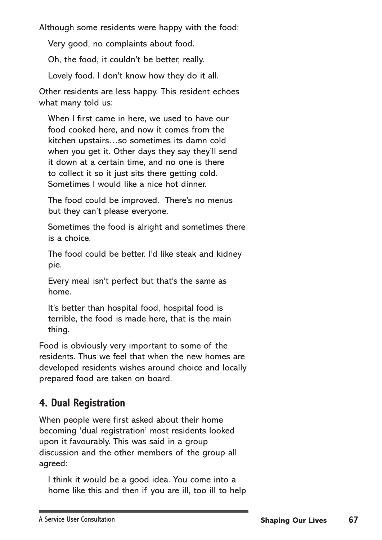Although some residents were happy with the food:

Very good, no complaints about food.

Oh, the food, it couldn't be better, really.

Lovely food. I don't know how they do it all.

Other residents are less happy. This resident echoes what many told us:

When I first came in here, we used to have our food cooked here, and now it comes from the kitchen upstairs…so sometimes its damn cold when you get it. Other days they say they'll send it down at a certain time, and no one is there to collect it so it just sits there getting cold. Sometimes I would like a nice hot dinner.

The food could be improved. There's no menus but they can't please everyone.

Sometimes the food is alright and sometimes there is a choice.

The food could be better. I'd like steak and kidney pie.

Every meal isn't perfect but that's the same as home.

It's better than hospital food, hospital food is terrible, the food is made here, that is the main thing.

Food is obviously very important to some of the residents. Thus we feel that when the new homes are developed residents wishes around choice and locally prepared food are taken on board.

## **4. Dual Registration**

When people were first asked about their home becoming 'dual registration' most residents looked upon it favourably. This was said in a group discussion and the other members of the group all agreed:

I think it would be a good idea. You come into a home like this and then if you are ill, too ill to help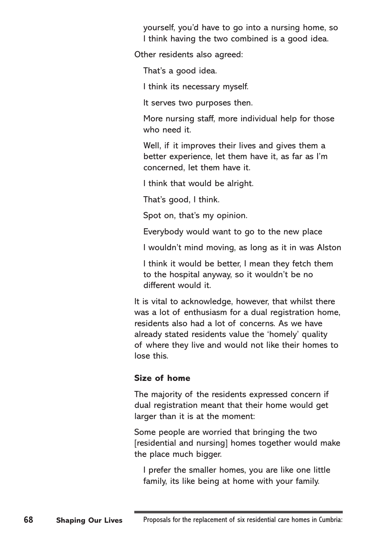yourself, you'd have to go into a nursing home, so I think having the two combined is a good idea.

Other residents also agreed:

That's a good idea.

I think its necessary myself.

It serves two purposes then.

More nursing staff, more individual help for those who need it.

Well, if it improves their lives and gives them a better experience, let them have it, as far as I'm concerned, let them have it.

I think that would be alright.

That's good, I think.

Spot on, that's my opinion.

Everybody would want to go to the new place

I wouldn't mind moving, as long as it in was Alston

I think it would be better, I mean they fetch them to the hospital anyway, so it wouldn't be no different would it.

It is vital to acknowledge, however, that whilst there was a lot of enthusiasm for a dual registration home, residents also had a lot of concerns. As we have already stated residents value the 'homely' quality of where they live and would not like their homes to lose this.

#### **Size of home**

The majority of the residents expressed concern if dual registration meant that their home would get larger than it is at the moment:

Some people are worried that bringing the two [residential and nursing] homes together would make the place much bigger.

I prefer the smaller homes, you are like one little family, its like being at home with your family.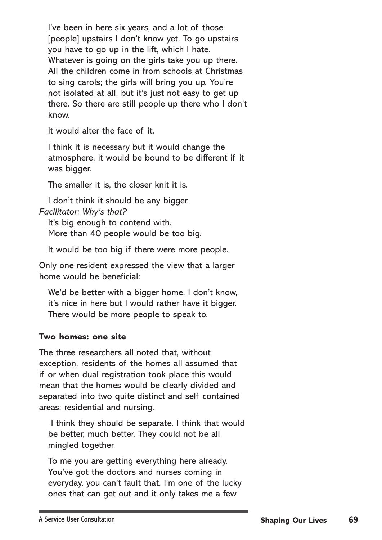I've been in here six years, and a lot of those [people] upstairs I don't know yet. To go upstairs you have to go up in the lift, which I hate. Whatever is going on the girls take you up there. All the children come in from schools at Christmas to sing carols; the girls will bring you up. You're not isolated at all, but it's just not easy to get up there. So there are still people up there who I don't know.

It would alter the face of it.

I think it is necessary but it would change the atmosphere, it would be bound to be different if it was bigger.

The smaller it is, the closer knit it is.

I don't think it should be any bigger. *Facilitator: Why's that?*

It's big enough to contend with. More than 40 people would be too big.

It would be too big if there were more people.

Only one resident expressed the view that a larger home would be beneficial:

We'd be better with a bigger home. I don't know, it's nice in here but I would rather have it bigger. There would be more people to speak to.

### **Two homes: one site**

The three researchers all noted that, without exception, residents of the homes all assumed that if or when dual registration took place this would mean that the homes would be clearly divided and separated into two quite distinct and self contained areas: residential and nursing.

 I think they should be separate. I think that would be better, much better. They could not be all mingled together.

To me you are getting everything here already. You've got the doctors and nurses coming in everyday, you can't fault that. I'm one of the lucky ones that can get out and it only takes me a few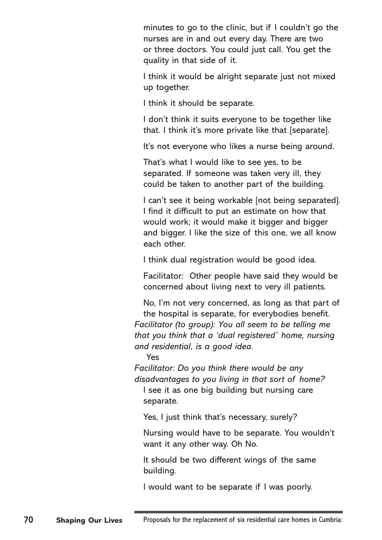minutes to go to the clinic, but if I couldn't go the nurses are in and out every day. There are two or three doctors. You could just call. You get the quality in that side of it.

I think it would be alright separate just not mixed up together.

I think it should be separate.

I don't think it suits everyone to be together like that. I think it's more private like that [separate].

It's not everyone who likes a nurse being around.

That's what I would like to see yes, to be separated. If someone was taken very ill, they could be taken to another part of the building.

I can't see it being workable [not being separated]. I find it difficult to put an estimate on how that would work; it would make it bigger and bigger and bigger. I like the size of this one, we all know each other.

I think dual registration would be good idea.

Facilitator: Other people have said they would be concerned about living next to very ill patients.

No, I'm not very concerned, as long as that part of the hospital is separate, for everybodies benefit. *Facilitator (to group): You all seem to be telling me that you think that a 'dual registered' home, nursing and residential, is a good idea.*

Yes

*Facilitator: Do you think there would be any disadvantages to you living in that sort of home?*

I see it as one big building but nursing care separate.

Yes, I just think that's necessary, surely?

Nursing would have to be separate. You wouldn't want it any other way. Oh No.

It should be two different wings of the same building.

I would want to be separate if I was poorly.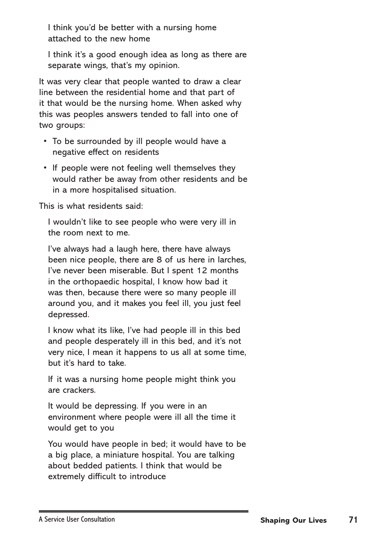I think you'd be better with a nursing home attached to the new home

I think it's a good enough idea as long as there are separate wings, that's my opinion.

It was very clear that people wanted to draw a clear line between the residential home and that part of it that would be the nursing home. When asked why this was peoples answers tended to fall into one of two groups:

- To be surrounded by ill people would have a negative effect on residents
- If people were not feeling well themselves they would rather be away from other residents and be in a more hospitalised situation.

This is what residents said:

I wouldn't like to see people who were very ill in the room next to me.

I've always had a laugh here, there have always been nice people, there are 8 of us here in larches, I've never been miserable. But I spent 12 months in the orthopaedic hospital, I know how bad it was then, because there were so many people ill around you, and it makes you feel ill, you just feel depressed.

I know what its like, I've had people ill in this bed and people desperately ill in this bed, and it's not very nice, I mean it happens to us all at some time, but it's hard to take.

If it was a nursing home people might think you are crackers.

It would be depressing. If you were in an environment where people were ill all the time it would get to you

You would have people in bed; it would have to be a big place, a miniature hospital. You are talking about bedded patients. I think that would be extremely difficult to introduce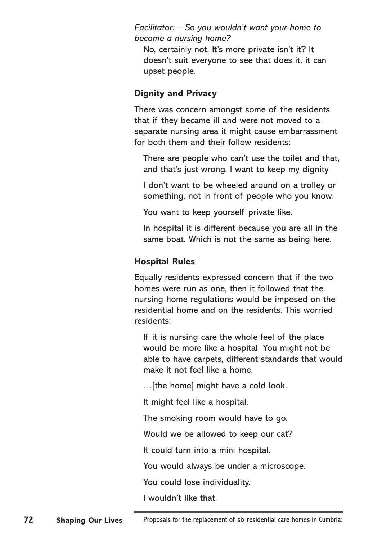*Facilitator: – So you wouldn't want your home to become a nursing home?*

No, certainly not. It's more private isn't it? It doesn't suit everyone to see that does it, it can upset people.

### **Dignity and Privacy**

There was concern amongst some of the residents that if they became ill and were not moved to a separate nursing area it might cause embarrassment for both them and their follow residents:

There are people who can't use the toilet and that, and that's just wrong. I want to keep my dignity

I don't want to be wheeled around on a trolley or something, not in front of people who you know.

You want to keep yourself private like.

In hospital it is different because you are all in the same boat. Which is not the same as being here.

## **Hospital Rules**

Equally residents expressed concern that if the two homes were run as one, then it followed that the nursing home regulations would be imposed on the residential home and on the residents. This worried residents:

If it is nursing care the whole feel of the place would be more like a hospital. You might not be able to have carpets, different standards that would make it not feel like a home.

…[the home] might have a cold look.

It might feel like a hospital.

The smoking room would have to go.

Would we be allowed to keep our cat?

It could turn into a mini hospital.

You would always be under a microscope.

You could lose individuality.

I wouldn't like that.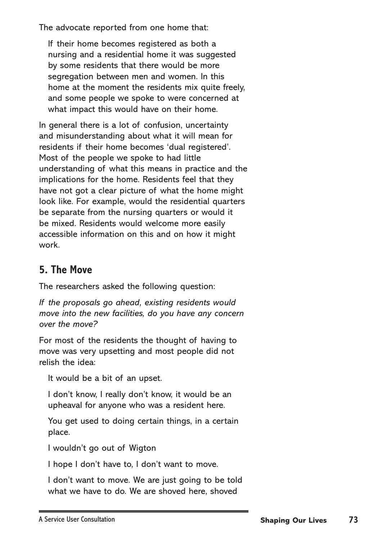The advocate reported from one home that:

If their home becomes registered as both a nursing and a residential home it was suggested by some residents that there would be more segregation between men and women. In this home at the moment the residents mix quite freely, and some people we spoke to were concerned at what impact this would have on their home.

In general there is a lot of confusion, uncertainty and misunderstanding about what it will mean for residents if their home becomes 'dual registered'. Most of the people we spoke to had little understanding of what this means in practice and the implications for the home. Residents feel that they have not got a clear picture of what the home might look like. For example, would the residential quarters be separate from the nursing quarters or would it be mixed. Residents would welcome more easily accessible information on this and on how it might work.

### **5. The Move**

The researchers asked the following question:

*If the proposals go ahead, existing residents would move into the new facilities, do you have any concern over the move?*

For most of the residents the thought of having to move was very upsetting and most people did not relish the idea:

It would be a bit of an upset.

I don't know, I really don't know, it would be an upheaval for anyone who was a resident here.

You get used to doing certain things, in a certain place.

I wouldn't go out of Wigton

I hope I don't have to, I don't want to move.

I don't want to move. We are just going to be told what we have to do. We are shoved here, shoved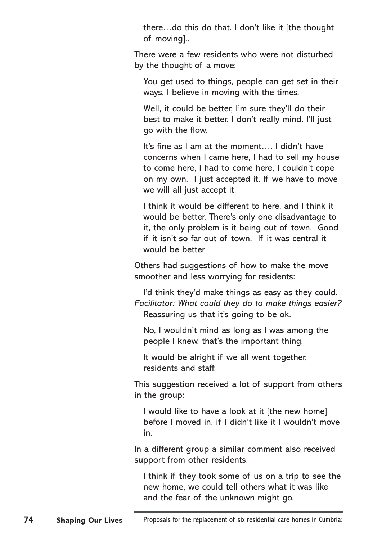there…do this do that. I don't like it [the thought of moving]..

There were a few residents who were not disturbed by the thought of a move:

You get used to things, people can get set in their ways, I believe in moving with the times.

Well, it could be better, I'm sure they'll do their best to make it better. I don't really mind. I'll just go with the flow.

It's fine as I am at the moment…. I didn't have concerns when I came here, I had to sell my house to come here, I had to come here, I couldn't cope on my own. I just accepted it. If we have to move we will all just accept it.

I think it would be different to here, and I think it would be better. There's only one disadvantage to it, the only problem is it being out of town. Good if it isn't so far out of town. If it was central it would be better

Others had suggestions of how to make the move smoother and less worrying for residents:

I'd think they'd make things as easy as they could. *Facilitator: What could they do to make things easier?* Reassuring us that it's going to be ok.

No, I wouldn't mind as long as I was among the people I knew, that's the important thing.

It would be alright if we all went together, residents and staff.

This suggestion received a lot of support from others in the group:

I would like to have a look at it [the new home] before I moved in, if I didn't like it I wouldn't move in.

In a different group a similar comment also received support from other residents:

I think if they took some of us on a trip to see the new home, we could tell others what it was like and the fear of the unknown might go.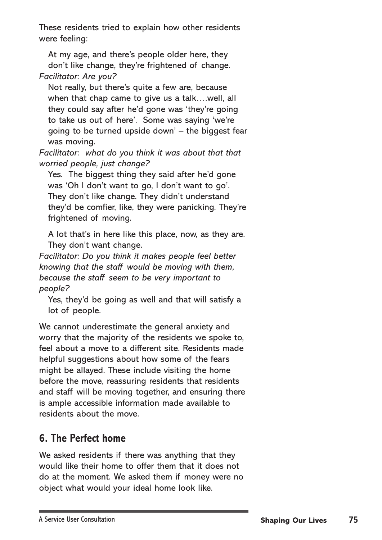These residents tried to explain how other residents were feeling:

At my age, and there's people older here, they don't like change, they're frightened of change. *Facilitator: Are you?*

Not really, but there's quite a few are, because when that chap came to give us a talk….well, all they could say after he'd gone was 'they're going to take us out of here'. Some was saying 'we're going to be turned upside down' – the biggest fear was moving.

*Facilitator: what do you think it was about that that worried people, just change?*

Yes. The biggest thing they said after he'd gone was 'Oh I don't want to go, I don't want to go'. They don't like change. They didn't understand they'd be comfier, like, they were panicking. They're frightened of moving.

A lot that's in here like this place, now, as they are. They don't want change.

*Facilitator: Do you think it makes people feel better knowing that the staff would be moving with them, because the staff seem to be very important to people?*

Yes, they'd be going as well and that will satisfy a lot of people.

We cannot underestimate the general anxiety and worry that the majority of the residents we spoke to, feel about a move to a different site. Residents made helpful suggestions about how some of the fears might be allayed. These include visiting the home before the move, reassuring residents that residents and staff will be moving together, and ensuring there is ample accessible information made available to residents about the move.

# **6. The Perfect home**

We asked residents if there was anything that they would like their home to offer them that it does not do at the moment. We asked them if money were no object what would your ideal home look like.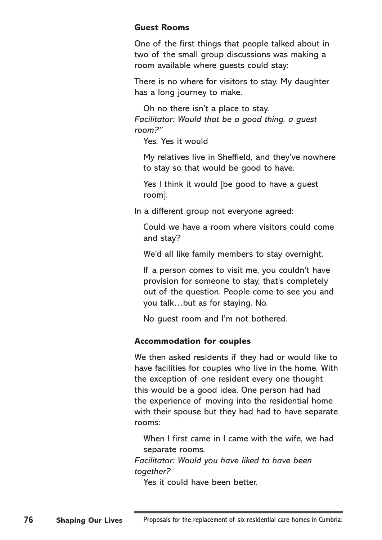#### **Guest Rooms**

One of the first things that people talked about in two of the small group discussions was making a room available where guests could stay:

There is no where for visitors to stay. My daughter has a long journey to make.

Oh no there isn't a place to stay. *Facilitator: Would that be a good thing, a guest room?"* 

Yes. Yes it would

My relatives live in Sheffield, and they've nowhere to stay so that would be good to have.

Yes I think it would [be good to have a guest room].

In a different group not everyone agreed:

Could we have a room where visitors could come and stay?

We'd all like family members to stay overnight.

If a person comes to visit me, you couldn't have provision for someone to stay, that's completely out of the question. People come to see you and you talk…but as for staying. No.

No guest room and I'm not bothered.

#### **Accommodation for couples**

We then asked residents if they had or would like to have facilities for couples who live in the home. With the exception of one resident every one thought this would be a good idea. One person had had the experience of moving into the residential home with their spouse but they had had to have separate rooms:

When I first came in I came with the wife, we had separate rooms.

*Facilitator: Would you have liked to have been together?* 

Yes it could have been better.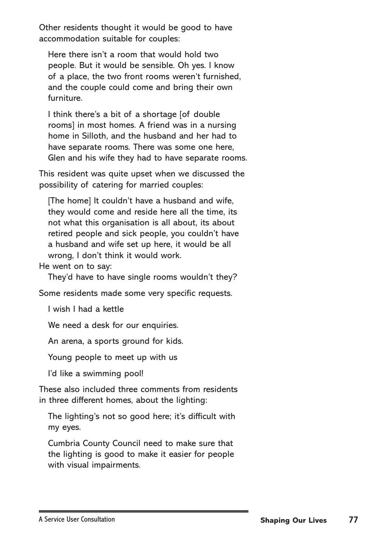Other residents thought it would be good to have accommodation suitable for couples:

Here there isn't a room that would hold two people. But it would be sensible. Oh yes. I know of a place, the two front rooms weren't furnished, and the couple could come and bring their own furniture.

I think there's a bit of a shortage [of double rooms] in most homes. A friend was in a nursing home in Silloth, and the husband and her had to have separate rooms. There was some one here, Glen and his wife they had to have separate rooms.

This resident was quite upset when we discussed the possibility of catering for married couples:

[The home] It couldn't have a husband and wife, they would come and reside here all the time, its not what this organisation is all about, its about retired people and sick people, you couldn't have a husband and wife set up here, it would be all wrong, I don't think it would work.

He went on to say:

They'd have to have single rooms wouldn't they?

Some residents made some very specific requests.

I wish I had a kettle

We need a desk for our enquiries.

An arena, a sports ground for kids.

Young people to meet up with us

I'd like a swimming pool!

These also included three comments from residents in three different homes, about the lighting:

The lighting's not so good here; it's difficult with my eyes.

Cumbria County Council need to make sure that the lighting is good to make it easier for people with visual impairments.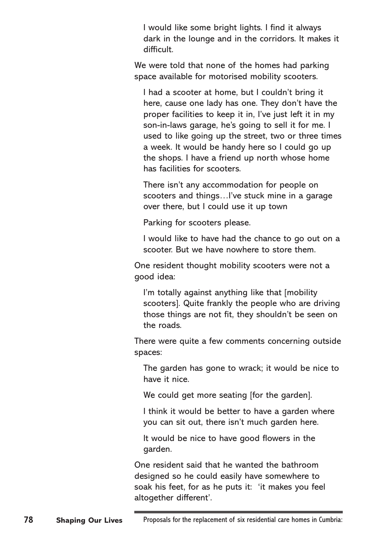I would like some bright lights. I find it always dark in the lounge and in the corridors. It makes it difficult.

We were told that none of the homes had parking space available for motorised mobility scooters.

I had a scooter at home, but I couldn't bring it here, cause one lady has one. They don't have the proper facilities to keep it in, I've just left it in my son-in-laws garage, he's going to sell it for me. I used to like going up the street, two or three times a week. It would be handy here so I could go up the shops. I have a friend up north whose home has facilities for scooters.

There isn't any accommodation for people on scooters and things…I've stuck mine in a garage over there, but I could use it up town

Parking for scooters please.

I would like to have had the chance to go out on a scooter. But we have nowhere to store them.

One resident thought mobility scooters were not a good idea:

I'm totally against anything like that [mobility] scooters]. Quite frankly the people who are driving those things are not fit, they shouldn't be seen on the roads.

There were quite a few comments concerning outside spaces:

The garden has gone to wrack; it would be nice to have it nice.

We could get more seating [for the garden].

I think it would be better to have a garden where you can sit out, there isn't much garden here.

It would be nice to have good flowers in the garden.

One resident said that he wanted the bathroom designed so he could easily have somewhere to soak his feet, for as he puts it: 'it makes you feel altogether different'.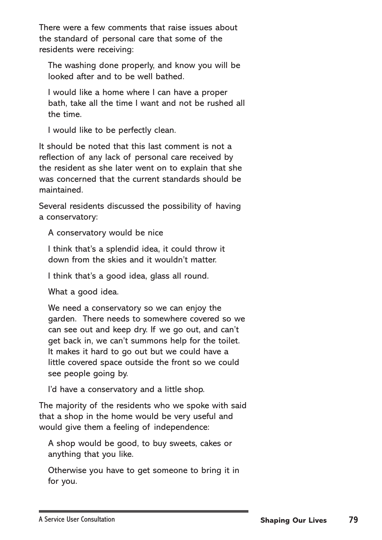There were a few comments that raise issues about the standard of personal care that some of the residents were receiving:

The washing done properly, and know you will be looked after and to be well bathed.

I would like a home where I can have a proper bath, take all the time I want and not be rushed all the time.

I would like to be perfectly clean.

It should be noted that this last comment is not a reflection of any lack of personal care received by the resident as she later went on to explain that she was concerned that the current standards should be maintained.

Several residents discussed the possibility of having a conservatory:

A conservatory would be nice

I think that's a splendid idea, it could throw it down from the skies and it wouldn't matter.

I think that's a good idea, glass all round.

What a good idea.

We need a conservatory so we can enjoy the garden. There needs to somewhere covered so we can see out and keep dry. If we go out, and can't get back in, we can't summons help for the toilet. It makes it hard to go out but we could have a little covered space outside the front so we could see people going by.

I'd have a conservatory and a little shop.

The majority of the residents who we spoke with said that a shop in the home would be very useful and would give them a feeling of independence:

A shop would be good, to buy sweets, cakes or anything that you like.

Otherwise you have to get someone to bring it in for you.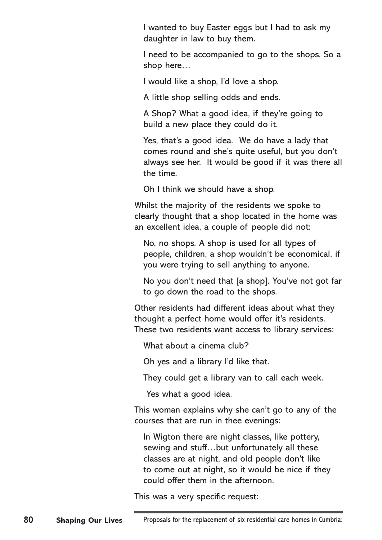I wanted to buy Easter eggs but I had to ask my daughter in law to buy them.

I need to be accompanied to go to the shops. So a shop here…

I would like a shop, I'd love a shop.

A little shop selling odds and ends.

A Shop? What a good idea, if they're going to build a new place they could do it.

Yes, that's a good idea. We do have a lady that comes round and she's quite useful, but you don't always see her. It would be good if it was there all the time.

Oh I think we should have a shop.

Whilst the majority of the residents we spoke to clearly thought that a shop located in the home was an excellent idea, a couple of people did not:

No, no shops. A shop is used for all types of people, children, a shop wouldn't be economical, if you were trying to sell anything to anyone.

No you don't need that [a shop]. You've not got far to go down the road to the shops.

Other residents had different ideas about what they thought a perfect home would offer it's residents. These two residents want access to library services:

What about a cinema club?

Oh yes and a library I'd like that.

They could get a library van to call each week.

Yes what a good idea.

This woman explains why she can't go to any of the courses that are run in thee evenings:

In Wigton there are night classes, like pottery, sewing and stuff…but unfortunately all these classes are at night, and old people don't like to come out at night, so it would be nice if they could offer them in the afternoon.

This was a very specific request: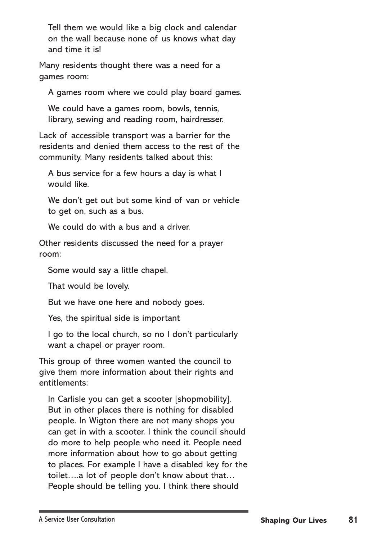Tell them we would like a big clock and calendar on the wall because none of us knows what day and time it is!

Many residents thought there was a need for a games room:

A games room where we could play board games.

We could have a games room, bowls, tennis, library, sewing and reading room, hairdresser.

Lack of accessible transport was a barrier for the residents and denied them access to the rest of the community. Many residents talked about this:

A bus service for a few hours a day is what I would like.

We don't get out but some kind of van or vehicle to get on, such as a bus.

We could do with a bus and a driver.

Other residents discussed the need for a prayer room:

Some would say a little chapel.

That would be lovely.

But we have one here and nobody goes.

Yes, the spiritual side is important

I go to the local church, so no I don't particularly want a chapel or prayer room.

This group of three women wanted the council to give them more information about their rights and entitlements:

In Carlisle you can get a scooter [shopmobility]. But in other places there is nothing for disabled people. In Wigton there are not many shops you can get in with a scooter. I think the council should do more to help people who need it. People need more information about how to go about getting to places. For example I have a disabled key for the toilet….a lot of people don't know about that… People should be telling you. I think there should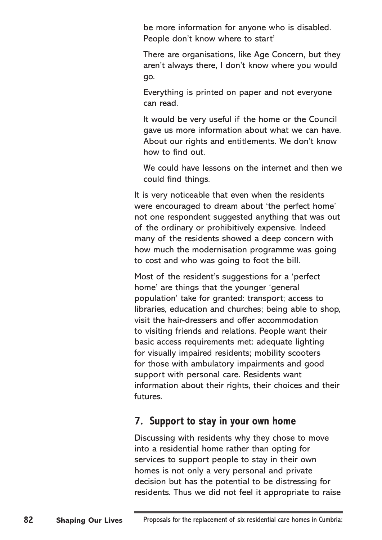be more information for anyone who is disabled. People don't know where to start'

There are organisations, like Age Concern, but they aren't always there, I don't know where you would go.

Everything is printed on paper and not everyone can read.

It would be very useful if the home or the Council gave us more information about what we can have. About our rights and entitlements. We don't know how to find out.

We could have lessons on the internet and then we could find things.

It is very noticeable that even when the residents were encouraged to dream about 'the perfect home' not one respondent suggested anything that was out of the ordinary or prohibitively expensive. Indeed many of the residents showed a deep concern with how much the modernisation programme was going to cost and who was going to foot the bill.

Most of the resident's suggestions for a 'perfect home' are things that the younger 'general population' take for granted: transport; access to libraries, education and churches; being able to shop, visit the hair-dressers and offer accommodation to visiting friends and relations. People want their basic access requirements met: adequate lighting for visually impaired residents; mobility scooters for those with ambulatory impairments and good support with personal care. Residents want information about their rights, their choices and their futures.

### **7. Support to stay in your own home**

Discussing with residents why they chose to move into a residential home rather than opting for services to support people to stay in their own homes is not only a very personal and private decision but has the potential to be distressing for residents. Thus we did not feel it appropriate to raise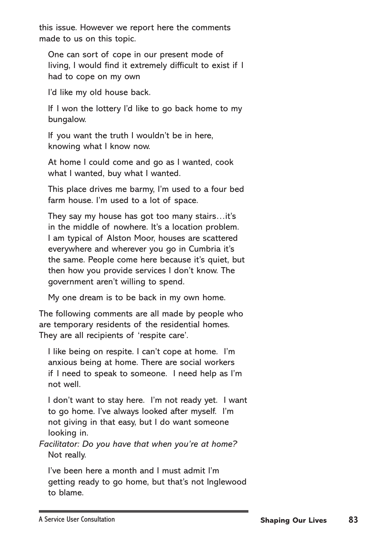this issue. However we report here the comments made to us on this topic.

One can sort of cope in our present mode of living, I would find it extremely difficult to exist if I had to cope on my own

I'd like my old house back.

If I won the lottery I'd like to go back home to my bungalow.

If you want the truth I wouldn't be in here, knowing what I know now.

At home I could come and go as I wanted, cook what I wanted, buy what I wanted.

This place drives me barmy, I'm used to a four bed farm house. I'm used to a lot of space.

They say my house has got too many stairs…it's in the middle of nowhere. It's a location problem. I am typical of Alston Moor, houses are scattered everywhere and wherever you go in Cumbria it's the same. People come here because it's quiet, but then how you provide services I don't know. The government aren't willing to spend.

My one dream is to be back in my own home.

The following comments are all made by people who are temporary residents of the residential homes. They are all recipients of 'respite care'.

I like being on respite. I can't cope at home. I'm anxious being at home. There are social workers if I need to speak to someone. I need help as I'm not well.

I don't want to stay here. I'm not ready yet. I want to go home. I've always looked after myself. I'm not giving in that easy, but I do want someone looking in.

*Facilitator: Do you have that when you're at home?* Not really.

I've been here a month and I must admit I'm getting ready to go home, but that's not Inglewood to blame.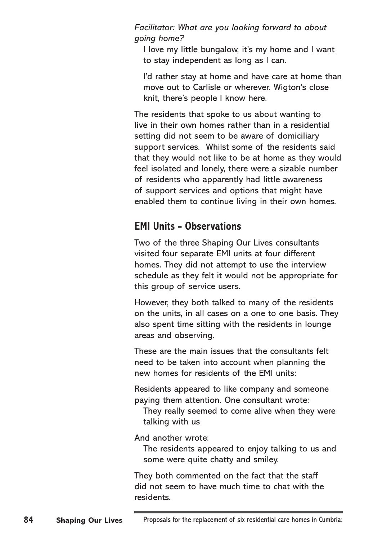*Facilitator: What are you looking forward to about going home?*

I love my little bungalow, it's my home and I want to stay independent as long as I can.

I'd rather stay at home and have care at home than move out to Carlisle or wherever. Wigton's close knit, there's people I know here.

The residents that spoke to us about wanting to live in their own homes rather than in a residential setting did not seem to be aware of domiciliary support services. Whilst some of the residents said that they would not like to be at home as they would feel isolated and lonely, there were a sizable number of residents who apparently had little awareness of support services and options that might have enabled them to continue living in their own homes.

## **EMI Units - Observations**

Two of the three Shaping Our Lives consultants visited four separate EMI units at four different homes. They did not attempt to use the interview schedule as they felt it would not be appropriate for this group of service users.

However, they both talked to many of the residents on the units, in all cases on a one to one basis. They also spent time sitting with the residents in lounge areas and observing.

These are the main issues that the consultants felt need to be taken into account when planning the new homes for residents of the EMI units:

Residents appeared to like company and someone paying them attention. One consultant wrote:

They really seemed to come alive when they were talking with us

And another wrote:

The residents appeared to enjoy talking to us and some were quite chatty and smiley.

They both commented on the fact that the staff did not seem to have much time to chat with the residents.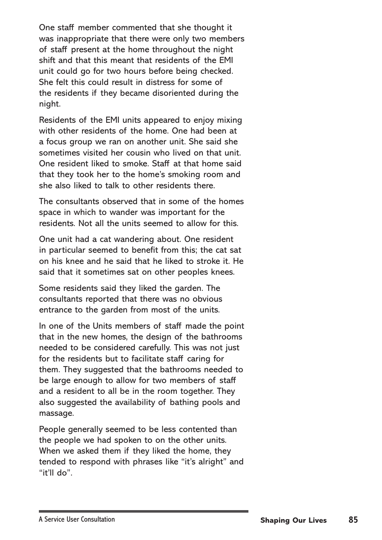One staff member commented that she thought it was inappropriate that there were only two members of staff present at the home throughout the night shift and that this meant that residents of the EMI unit could go for two hours before being checked. She felt this could result in distress for some of the residents if they became disoriented during the night.

Residents of the EMI units appeared to enjoy mixing with other residents of the home. One had been at a focus group we ran on another unit. She said she sometimes visited her cousin who lived on that unit. One resident liked to smoke. Staff at that home said that they took her to the home's smoking room and she also liked to talk to other residents there.

The consultants observed that in some of the homes space in which to wander was important for the residents. Not all the units seemed to allow for this.

One unit had a cat wandering about. One resident in particular seemed to benefit from this; the cat sat on his knee and he said that he liked to stroke it. He said that it sometimes sat on other peoples knees.

Some residents said they liked the garden. The consultants reported that there was no obvious entrance to the garden from most of the units.

In one of the Units members of staff made the point that in the new homes, the design of the bathrooms needed to be considered carefully. This was not just for the residents but to facilitate staff caring for them. They suggested that the bathrooms needed to be large enough to allow for two members of staff and a resident to all be in the room together. They also suggested the availability of bathing pools and massage.

People generally seemed to be less contented than the people we had spoken to on the other units. When we asked them if they liked the home, they tended to respond with phrases like "it's alright" and "it'll do".